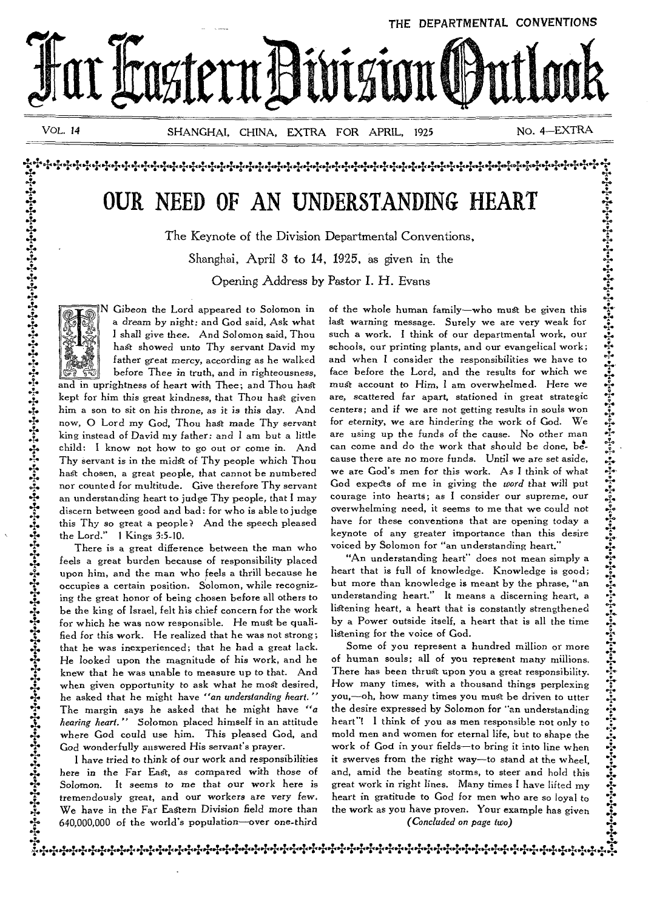

1 4.<br>1 4.<br>1 4.<br>1 4.

**4. •-i•**  1'

 $\widehat{A}$ ا میان می بازد.<br>ا

 $\frac{2}{\lambda}$ 

 $\mathfrak{F}$  $\frac{1}{4}$ 

**4.** 

1•

4.

 $\frac{2}{1}$ .

*VOL. 14* SHANGHAI, CHINA, EXTRA FOR APRIL, 1925 NO. 4—EXTRA

# **OUR NEED OF AN UNDERSTANDING HEART**

4.+4.4444.1..1.+•14+÷÷.14÷÷++++++44•1444.144.•'.+44•1-.1-44÷•14.14.1-414+4+++.1-4.q4\*

The Keynote of the Division Departmental Conventions,

Shanghai, April 3 to 14, 1925, as given in the

Opening Address by Pastor I. H. Evans



N Gibeon the Lord appeared to Solomon in a dream by night: and God said, Ask what I shall *give* thee. And Solomon said, Thou hast showed unto Thy servant David my father great *mercy,* according as he walked before Thee *in* truth, and in righteousness, and in uprightness of heart with Thee; and Thou hast kept for him this great kindness, that Thou hest *given*  him a son to sit on his throne, as it is this day. And now, 0 Lord my God, Thou hast made Thy servant king instead of David my father: and I am but a little child: I know not how to go out or come in. And Thy servant is in the midst of Thy people which Thou hast chosen, a great people, that cannot be numbered nor counted for multitude. Give therefore Thy servant an understanding heart to judge Thy people, that I may discern between good and bad: for who is able to judge this Thy so great a people? And the speech pleased

the Lord." 1 Kings 3:5-10. There is a great difference between the man who feels a great burden because of responsibility placed upon him, and the man who feels a thrill because he occupies a certain position. Solomon, while recognizing the great honor of being chosen before all others to be the king of Israel, felt his chief concern for the work for which he was now responsible. He must be qualified for this work. He realized that he was not strong; that he was inexperienced; that he had a great lack. He looked upon the magnitude of his work, and he knew that he was unable to measure up to that. And when given opportunity to ask what he most desired, he asked that he might have *"an understanding heart."*  The margin says he asked that he might have *"a hearing heart."* Solomon placed himself in an attitude where God could use him. This pleased God, and God wonderfully answered His servant's prayer.

I have tried to think of our work and responsibilities here *in* the Far East, as compared with those of Solomon. It *seems to me* that our work here is tremendously great, and our workers are very few. We have in the Far Eastern *Division* field more than 640,000,000 of the world's population—over one-third

of the whole human family—who must be given this last warning message. Surely we are very weak for such a work. I think of our departmental work, our schools, our printing plants, and our evangelical work; and when I consider the responsibilities we have to face before the Lord, and the results for which we see face before the Lord, and the results for which we must account to Him, I am overwhelmed. Here we are, scattered far apart, stationed in great strategic centers; and if we are not getting results in souls won for eternity, we are hindering the work of God. We are using up the funds of the cause. No other man can come and do the work that should be done, because there are no more funds. Until we are set aside, we are God's men for this work. As I think of what God expects of me in giving the *word* that will put courage into hearts; as I consider our supreme, our overwhelming need, it seems to me that we could not **4.**  have for these conventions that are opening today a keynote of any greater importance than this desire voiced by Solomon for "an understanding heart."

"An understanding heart" does not mean simply a heart that is full of knowledge. Knowledge is good; but more than knowledge is meant by the phrase, "an understanding heart." It means a discerning heart, a listening heart, a heart that is constantly strengthened by a Power outside itself, a heart that is all the time listening for the voice of God.

Some of you represent a hundred million or more of human souls; all of you represent many millions. There has been thrust upon you a great responsibility. How many times, with a thousand things perplexing you,-oh, how many times you must be driven to utter the desire expressed by Solomon for "an understanding heart"! I think of you as men responsible not only to mold men and women for eternal life, but to shape the work of God in your fields—to bring it into line when it swerves from the right way—to stand at the wheel, and, amid the beating storms, to steer and hold this great work in right lines. Many times I have lifted my heart in gratitude to God for men who are so loyal to the work as you have proven. Your example has given *(Concluded on page two)* 

1441-:-.++++++++++++4÷÷++++++++++++++++4444+4,++++++++++++++.:.÷:÷:f.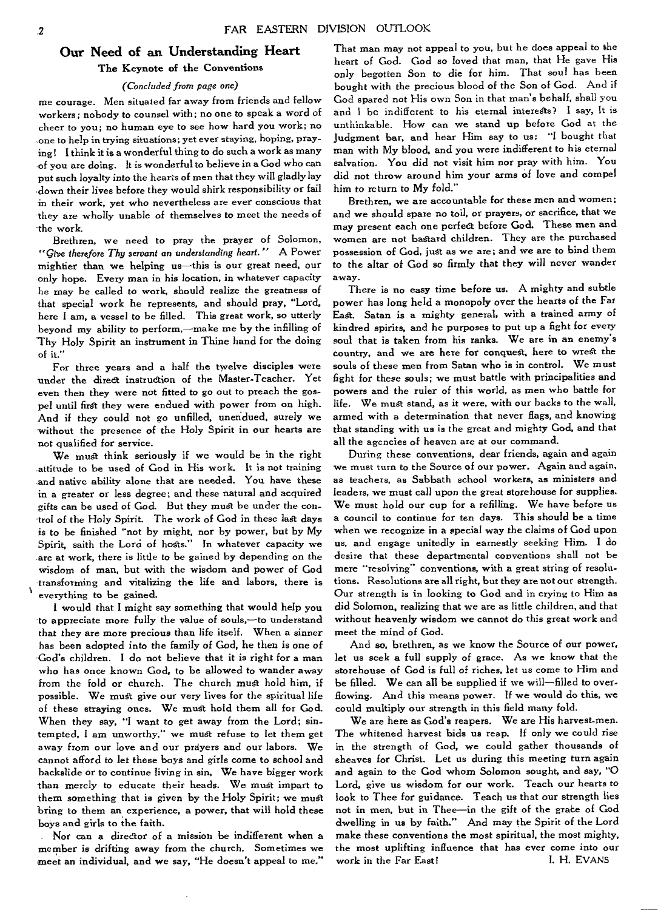## **Our Need of an Understanding Heart The Keynote of the Conventions**

#### *(Concluded from page one)*

**me courage. Men situated far away from friends and fellow workers; nobody to counsel with; no one to speak a word of cheer to you; no human eye to see how hard you work; no one to help in trying situations; yet ever staying, hoping, praying! I think it is a wonderful thing to do such a work as many of you are doing. It is wonderful to believe in a God who can put such loyalty into the hearts of men that they will gladly lay down their lives before they would shirk responsibility or fail in their work, yet who nevertheless are ever conscious that they are wholly unable of themselves to meet the needs of the work.** 

**Brethren, we need to pray the prayer of Solomon,**  *"give therefore Thy servant an understanding heart."* **A Power mightier than we helping us—this is our great need, our only hope. Every man in his location, in whatever capacity he may be called to work, should realize the greatness of that special work he represents, and should pray, "Lord, here I am, a vessel to be filled. This great work, so utterly beyond my ability to perform,—make me by the infilling of Thy Holy Spirit an instrument in Thine hand for the doing of it."** 

**For three years and a half the twelve disciples were 'under the direct instruction of the Master-Teacher. Yet even then they were not fitted to go out to preach the gospel until first they were endued with power from on high. And if they could not go unfilled, unendued, surely we without the presence of the Holy Spirit in our hearts are not qualified for service.** 

**We mat think seriously if we would be in the right attitude to be used of God in His work. It is not training and native ability alone that are needed. You have these in a greater or less degree; and these natural and acquired gifts can be used of God. But they must be under the control of the Holy Spirit. The work of God in these last days is to be finished "not by might, nor by power, but by My**  Spirit, saith the Lord of hosts." In whatever capacity we **are at work, there is little to be gained by depending on the wisdom of man, but with the wisdom and power of God transforming and vitalizing the life and labors, there is everything to be gained.** 

**I would that I might say something that would help you to appreciate more fully the value of souls,—to understand that they are more precious than life itself. When a sinner has been adopted into the family of God, he then is one of God's children. I do not believe that it is right for a man who has once known God, to be allowed to wander away from the fold or church. The church must hold him, if possible. We must give our very lives for the spiritual life of these straying ones. We must hold them all for God. When they say, "I want to get away from the Lord; sintempted, I am unworthy," we must refuse to let them get away from our love and our prayers and our labors. We cannot afford to let these boys and girls come to school and backslide or to continue living in sin, We have bigger work than merely to educate their heads. We must impart to them something that is given by the Holy Spirit; we must bring to them an experience, a power, that will hold these boys and girls to the faith.** 

**Nor can a director of a mission be indifferent when a member is drifting away from the church. Sometimes we meet an individual, and we say, "He doesn't appeal to me."** 

**That man may not appeal to you, but he** does **appeal to the heart of God. God so loved that man, that He gave His only begotten Son to die for him. That soul has been bought with the precious blood of the Son of God. And if God spared not His own Son in that man's behalf, shall you and 1** be **indifferent to his eternal interests? I say, It is unthinkable. How can we stand up before God at the Judgment bar, and hear Him say to us; "I bought that**  man **with My blood, and you were indifferent to his eternal salvation. You did not visit him nor pray with him. You did not throw around him** your **arms of love and compel him to return to My fold."** 

**Brethren, we are accountable for these men and women; and we should spare no toil, or prayers, or sacrifice, that we may present each one perfect before God. These men and women are not bastard children. They are the purchased possession of God, just as we are; and we are to bind them to the altar of God so firmly that they will** never **wander away.** 

**There is no easy time before us. A mighty and subtle**  power **has long held a monopoly over the hearts of the Far East. Satan is a mighty general, with a trained army of kindred spirits, and he purposes to put up a fight for every soul that is taken from his ranks. We are in an enemy's**  country, **and we are here for conquest, here to wrest the souls of these men from Satan who is in control. We must fight for these souls; we must battle with principalities and powers and the ruler of this world, as men who battle for life. We must stand, as it were, with our backs to the wall, armed with a determination that never flags, and knowing that standing with us is the great and mighty God, and that all the agencies of heaven are at our command.** 

**During these conventions, dear friends, again and again we must turn to the Source of our power. Again and again, as teachers, as Sabbath school workers, as ministers and leaders, we must call upon the great storehouse for supplies. We must hold our cup for a refilling. We have before us a council to continue for ten days. This should be a time when we recognize in a special way the claims of God upon us, and engage unitedly in earnestly seeking Him. I do desire that these departmental conventions shall not be mere "resolving" conventions, with a great string of resolutions. Resolutions are all right, but they are not our strength. Our strength is in looking to God and in crying to Him as did Solomon, realizing that we are as little children, and that without heavenly wisdom we cannot do this great work and meet the mind of God.** 

**And so, brethren, as we know the Source of our power, let us seek a full supply of grace. As we know that the storehouse of God is full of riches, let** us come **to Him and be filled. We can all be supplied if we will—filled to overflowing. And this means power. If we would do this, we could multiply our strength in this field many fold.** 

**We are here as God's reapers. We are His harvest-men. The whitened harvest bids us reap. If only we could rise in the strength of God, we could gather thousands of sheaves for Christ. Let us during this meeting turn again and again to the God whom Solomon sought, and** say, "0 Lord, give **us wisdom for our work. Teach our hearts to look to Thee for guidance. Teach us that our strength lies**  not in men, but in Thee-in the gift of the grace of God **dwelling in us by faith." And may the Spirit of the Lord make these conventions the most spiritual, the most mighty, the most uplifting influence that has ever come into** our work in the Far East!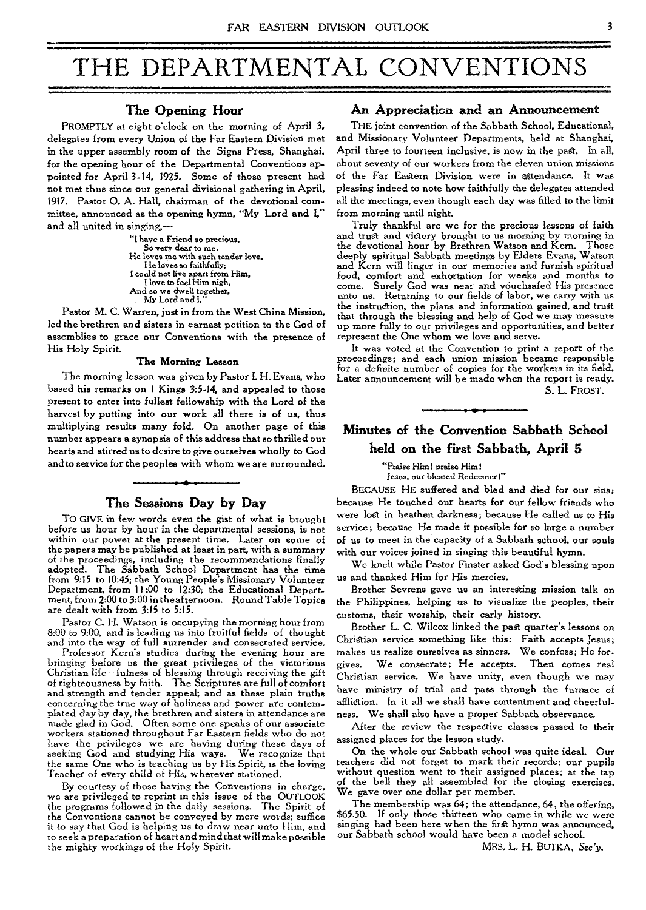# THE DEPARTMENTAL CONVENTIONS

## **The Opening Hour**

PROMPTLY at eight o'clock on the morning of April 3, delegates from every Union of the Far Eastern Division met in the upper assembly room of the Signs Press, Shanghai, for the opening hour of the Departmental Conventions appointed for April 3-14, 1925. Some of those present had not met thus since our general divisional gathering in April, 1917. Pastor **0.** A. Hall, chairman of the devotional committee, announced as the opening hymn, "My Lord and **I,** and all united in singing,—

> "I have a Friend so precious, So very dear to me. He loves me with such tender love, He loves so faithfully; I could not live apart from Him, I love to feel Him nigh, And so we dwell together, My Lord and I.

Pastor M. C. Warren, just in from the West China Mission, led the brethren and sisters in earnest petition to the God of assemblies to grace our Conventions with the presence of His Holy Spirit.

#### **The Morning Lesson**

The morning lesson was given by Pastor **I.** H. Evans, who based his remarks on 1 Kings 3:5-14, and appealed to those present to enter into fullest fellowship with the Lord of the harvest by putting into our work all there is of us, thus multiplying results many fold. On another page of this number appears a synopsis of this address that so thrilled our hearts and stirred us to desire to give ourselves wholly to God and to service for the peoples with whom we are surrounded.

## **The Sessions Day by Day**

TO GIVE in few words even the gist of what is brought before us hour by hour in the departmental sessions, is not within our power at the present time. Later on some of the papers may be published at least in part, with a summary of the proceedings, including the recommendations finally adopted. The Sabbath School Department has the time from 9:15 to 10:45; the Young People's Missionary Volunteer Department, from 11:00 to 12:30; the Educational Department, from 2:00 to 3:00 in the afternoon. Round Table Topics are dealt with from 3:15 to 5:15.

Pastor C. H. Watson is occupying the morning hour from 8:00 to 9:00, and is leading us into fruitful fields of thought and into the way of full surrender and consecrated service.

Professor Kern's studies during the evening hour are bringing before us the great privileges of the victorious Christian *life—fulness* of blessing through receiving the gift of righteousness by faith. The Scriptures are full of comfort and strength and tender appeal; and as these plain truths concerning the true way of holiness and power are contemplated day by day, the brethren and sisters in attendance are made glad in God. Often some one speaks of our associate workers stationed throughout Far Eastern fields who do not have the privileges we are having during these days of seeking God and studying His ways. We recognize that the same One who is teaching us by His Spirit, is the loving Teacher of every child of His, wherever stationed.

By courtesy of those having the Conventions in charge, we are privileged to reprint in this *issue* of the OUTLOOK the programs followed in the daily sessions. The Spirit of the Conventions cannot be conveyed by mere words; suffice it to say that God is helping us to draw near unto Him, and to seek *a* preparation of heart and mind that will make possible the mighty workings of the Holy Spirit.

## **An Appreciation and an Announcement**

THE joint convention of the Sabbath School, Educational, and Missionary Volunteer Departments, held at Shanghai, April three to fourteen inclusive, is now in the past. In all, about seventy of our workers from the eleven union missions of the Far Eastern Division were in attendance. It was pleasing indeed to note how faithfully the delegates attended all the meetings, even though each day was filled to the limit from morning until night.

Truly thankful are we for the precious lessons of faith and trust and victory brought to us morning by morning in the devotional hour by Brethren Watson and Kern. deeply spiritual Sabbath meetings by Elders Evans, Watson and Kern will linger in our memories and furnish spiritual food, comfort and exhortation for weeks and months to come. Surely God was near and vouchsafed His presence unto us. Returning to our fields of labor, we carry with us the instruction, the plans and information gained, and trust that through the blessing and help of God we may measure up more fully to our privileges and opportunities, and better represent the One whom we love and serve.

It was voted at the Convention to print a report of the proceedings; and each union mission became responsible for a definite number of copies for the workers in its field. Later announcement will be made when the report is ready.

S. L. FROST.

## **Minutes of the Convention Sabbath School held on the first Sabbath, April 5**

"Praise Him! praise Him!

Jesus, our blessed Redeemer!"

BECAUSE HE suffered and bled and died for our sins; because He touched our hearts for our fellow friends who were lost in heathen darkness; because He called us to His service; because He made it possible for so large a number of us to meet in the capacity of a Sabbath school, our souls with our voices joined in singing this beautiful hymn.

We knelt while Pastor Finster asked God's blessing upon us and thanked Him for His mercies.

Brother Sevrens gave us an interesting mission talk on the Philippines, helping us to visualize the peoples, their customs, their worship, their early history.

Brother L. C. Wilcox linked the past quarter's lessons on Christian service something like this: Faith accepts Jesus; makes us realize ourselves as sinners. We confess; He forgives. We consecrate; He accepts. Then comes real Christian service. We have unity, even though we may have ministry of trial and pass through the furnace of affliction. In it all we shall have contentment and cheerfulness. We shall also have a proper Sabbath observance.

After the review the respective classes passed to their assigned places for the lesson study.

On the whole our Sabbath school was quite ideal. Our teachers did not forget to mark their records; our pupils without question went to their assigned places; at the tap of the bell they all assembled for the closing exercises. We gave over one dollar per member.

The membership was 64; the attendance, *64,* the offering, \$65.50. If only those thirteen who came in while we were singing had been here when the first hymn was announced, our Sabbath school would have been a model school.

MRS. L. H. BUTKA, *Sec y.*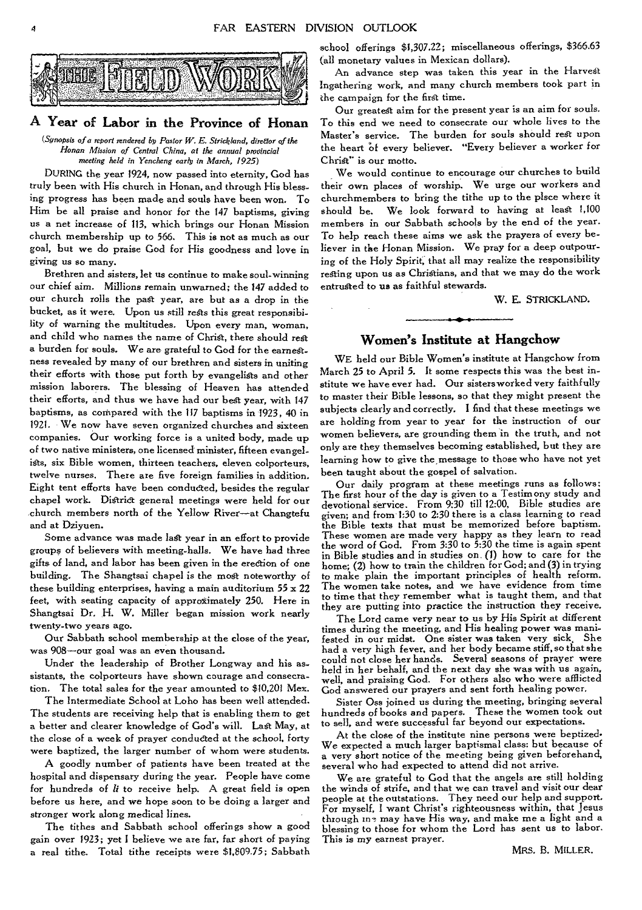

## **A Year of Labor in the Province of Honan**

(Synopsis of a report rendered by Pastor W. E. Strickland, director of the Ronan Mission of Central China, at the annual provincial meeting held in Yencheng early in March, 1925)

DURING the year 1924, now passed into eternity, God has truly been with His church in Honan, and through His blessing progress has been made and souls have been won. To Him be all praise and honor for the 147 baptisms, giving us a net increase of 113, which brings our Honan Mission church membership up to 566. This is not as much as our goal, but we do praise God for His goodness and love in giving us so many.

Brethren and sisters, let us continue to make soul-winning our chief aim. Millions remain unwarned; the 147 added to our church rolls the past year, are but as a drop in the bucket, as it were. Upon us still *rests* this great responsibility of warning the multitudes. Upon every man, woman, and child who names the name of Christ, there should rest a burden for souls. We are grateful to God for the earnestness revealed by many of our brethren and sisters in uniting their efforts with those put forth by evangelists and other mission laborers. The blessing of Heaven has attended their efforts, and thus we have had our best year, with 147 baptisms, as compared with the 117 baptisms in 1923, 40 in 1921. We now have seven organized churches and sixteen companies. Our working force is a united body, made up of two native ministers, one licensed minister, fifteen evangelists, six Bible women, thirteen teachers, eleven colporteurs, twelve nurses. There are five foreign families in addition. Eight tent efforts have been conducted, besides the regular chapel work. District general meetings were held for our church members north of the Yellow River—at Changtefu and at Dziyuen.

Some advance was made last year *in* an effort to provide groups of believers with meeting-halls. We have had three gifts of land, and labor has been given *in* the erection of *one*  building. The Shangtsai chapel is the most noteworthy of these building enterprises, having a main auditorium 55 x 22 feet, with seating capacity of approximately 250. Here in Shangtsai Dr. H. W. Miller began mission work nearly twenty-two years ago.

Our Sabbath school membership at the close of the year, was 908—our goal was an even thousand.

Under the leadership of Brother Longway and his assistants, the colporteurs have shown courage and consecration. The total sales for the year amounted to \$10,201 Mex.

The Intermediate School at Loho has been well attended. The students are receiving help that is enabling them to get a better and clearer knowledge of God's will. Last May, at the close of a week of prayer conducted at the school, forty were baptized, the larger number of whom were students.

A goodly number of patients have been treated at the hospital and dispensary during the year. People have come for hundreds of *li* to *receive* help. A great field is open before us here, and we hope soon to be doing a larger and stronger work along medical lines.

The tithes and Sabbath school offerings show a good gain over 1923; yet I believe we are far, far short of paying a real tithe. Total tithe receipts were \$1,809.75; Sabbath school offerings \$1,307.22; miscellaneous offerings, \$366.63 (all monetary values in Mexican dollars).

An advance step was taken this year in the Harvest Ingathering work, and many church members took part in the campaign for the first time.

Our greatest aim for the present year is an aim for souls. To this end we need to consecrate our whole lives to the Master's service. The burden for souls should rest upon the heart of every believer. "Every believer a worker for Christ" is our motto.

We would continue to encourage our churches to build their own places of worship. We urge our workers and churchmembers to bring the tithe up to the plsce where it should be. We look forward to having at least 1,100 members in our Sabbath schools by the end of the year. To help reach these aims we ask the prayers of every believer in the Honan Mission. We pray for a deep outpouring of the Holy Spirit, that all may realize the responsibility resting upon *us* as Christians, and that we may do the work entrusted to us as faithful stewards.

W. E. STRICKLAND.

## **Women's Institute at Hangchow**

WE held our Bible Women's institute at Hangchow from March 25 to April 5. It some respects this was the best institute we have ever had. Our sisters worked very faithfully to master their Bible lessons, so that they might present the subjects clearly and correctly. I find that these meetings we are holding from year to year for the instruction of our women believers, are grounding them in the truth, and not only are they themselves becoming established, but they are learning how to give the message to those who have not yet been taught about the gospel of salvation.

Our daily program at these meetings runs as follows: The first hour of the day is given to a Testimony study and devotional service. From 9:30 till 12:00, Bible studies are given; and from 1:30 to 2:30 there is a class learning to read the Bible texts that must be memorized before baptism. These women are made very happy as they learn to read the word of God. From 3:30 to 5:30 the time is again spent in Bible studies and in studies on. (1) how to care for the home; (2) how to train the children for God; and (3) in trying to make plain the important principles of health reform. The women take notes, and we have evidence from time to time that they remember what is taught them, and that they are putting into practice the instruction they receive.

The Lord came very near to us by His Spirit at different times during the meeting, and His healing power was manifested in our midst. One sister was taken very sick, She had a very high fever, and her body became stiff, so that she could not close her hands. Several seasons of prayer were held in her behalf, and the next day she was with us again, well, and praising God. For others also who were afflicted God answered our prayers and sent forth healing power.

Sister Oss joined us during the meeting, bringing several hundreds of books and papers. These the women took out to sell, and were successful far beyond our expectations.

At the close of the institute nine persons were beptized• We expected a much larger baptismal class: but because of a very short notice of the meeting being given beforehand, several who had expected to attend did not arrive.

We are grateful to God that the angels are still holding the winds of strife, and that we can travel and visit our dear people at the outstations. They need our help and support. For myself, I want Christ's righteousness within, that Jesus through ins may have His way, and make me a light and a blessing to those for whom the Lord has sent us to labor. This is my earnest prayer.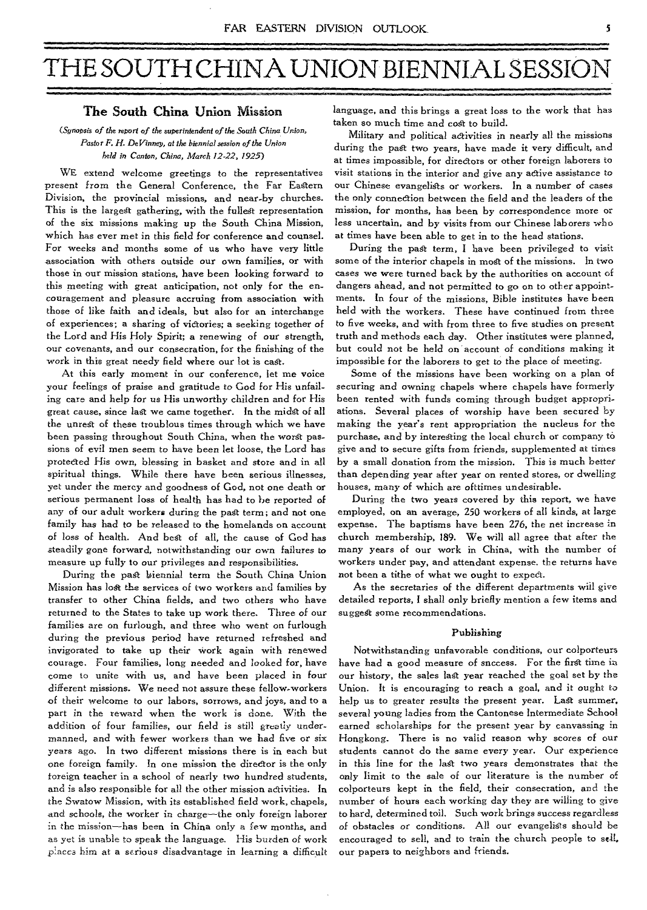# THE SOUTH CHINA UNION BIENNIAL SESSIC

## **The South China Union Mission**

## *(Synopsis of the report of the superintendent of the South China Union, Pastor F. H. Deffinney, at the biennial session of the Union held in Canton, China, March 12-22, 1925)*

WE extend welcome greetings to the representatives present from the General Conference, the Far Eastern Division, the provincial missions, and near-by churches. This is the largest gathering, with the fullest representation of the six missions making up the South China Mission, which has ever met in this field for conference and counsel. For weeks and months some of us who have very little association with others outside our own families, or with those in our mission stations, have been looking forward to this meeting with great anticipation, not only for the encouragement and pleasure accruing from association with those of like faith and ideals, but also for an interchange of experiences; a sharing of victories; a seeking together of the Lord and His Holy Spirit; a *renewing* of our strength, our covenants, and our consecration, for the finishing of the work in this great needy field where our lot is cast.

At this early moment in our conference, let me voice your feelings of praise and gratitude to God for His unfailing care and help for us His unworthy children and for His great cause, since last we came together. In the midst of all the unrest of these troublous times through which we have been passing throughout South China, when the worst passions of evil men seem to have been let loose, the Lord has protected His own, blessing in basket and store and in all spiritual *things.* While there have been serious illnesses, yet under the mercy and goodness of God, not one death or serious permanent loss of health has had to be reported of any of our adult workers during the past term; and not one family has had to be released to the homelands on account of loss of health. And best of all, the cause of God has steadily gone forward, notwithstanding our own failures to measure up fully to our privileges and responsibilities.

During the past biennial term the South China Union Mission has lost the services of two workers and families by transfer to other China fields, and two others who have returned to the States to take up work there. Three of our families are on furlough, and three who went on furlough during the previous period have returned refreshed and invigorated to take up their work again with renewed courage. Four families, long needed and looked for, have come to unite with us, and have been placed in four different missions. We need not assure these fellow-workers of their welcome to our labors, sorrows, and joys, and to a part in the reward when the work is done. With the addition of four families, our field is still greatly undermanned, and with *fewer* workers than we had five or six years ago. In two different missions there is in each but one foreign family. In one mission the director is the only foreign teacher in a school of nearly two hundred students, and is also responsible for all the other mission adivities. In the Swatow Mission, with its established field work, chapels, and schools, the worker in charge—the only foreign laborer in the mission--has been in China only a few months, and as yet is unable to speak the language. His burden of work places him at a *serious* disadvantage in learning a difficult

language, and this brings a great loss to the work that has taken so much time and cost to build.

Military and political activities in nearly all the missions during the past two years, have made it very difficult, and at times impossible, for directors or other foreign laborers to visit stations in the interior and give any active assistance to our Chinese evangelists or workers. In a number of cases the only connection between the field and the leaders of the mission, for months, has been by correspondence more or less uncertain, and by visits from our Chinese laborers who at times have been able to get in to the head stations.

During the past term, I have been privileged to visit some of the interior chapels in most of the missions. In two *cases* we were turned back by the authorities on account of dangers ahead, and not permitted to go on to other appointments. In four of the missions, Bible institutes have been held with the workers. These have continued from three to five weeks, and with from three to five studies on present truth and methods each day. Other institutes were planned, but could not be held on account of conditions making it impossible for the laborers to get to the place of meeting.

Some of the missions have been working on a plan of *securing* and owning chapels where chapels have formerly been rented with funds coming through budget appropriations. Several places of worship have been secured by making the year's rent appropriation the nucleus for the purchase, and by interesting the local church or company to give and to secure gifts from friends, supplemented at times by a small donation from the mission. This is much better than depending year after year on rented stores, or dwelling houses, many of which are ofttimes undesirable.

During the two years covered by this report, we have employed, on an average, 250 workers of all kinds, at large expense. The baptisms have been 276, the net increase in church membership, 189. We will all agree that after the many years of our work in China, with the number of workers under pay, and attendant expense. the returns have not been a tithe of what we ought to expect.

As the secretaries of the different departments will give detailed reports, I shall only briefly mention a few items and suggest some recommendations.

#### Publishing

Notwithstanding unfavorable conditions, our colporteurs have had a good measure of snccess. For the first time in our history, the sales last year reached the goal set by the Union. It is encouraging to reach a goal, and it ought to help us to greater results the present year. Last summer, several young ladies from the Cantonese Intermediate School earned scholarships for the present year by canvassing in Hongkong. There is no valid reason why scores of our students cannot do the same every year. Our experience in this line for the last two years demonstrates that the only limit to the sale of our literature is the number of colporteurs kept in the field, their consecration, and the number of hours each working day they are willing to give to hard, determined toil. Such work brings success regardless of obstacles *or* conditions. All our evangelists should be encouraged to sell, and to train the church people to sell, our papers to neighbors and friends.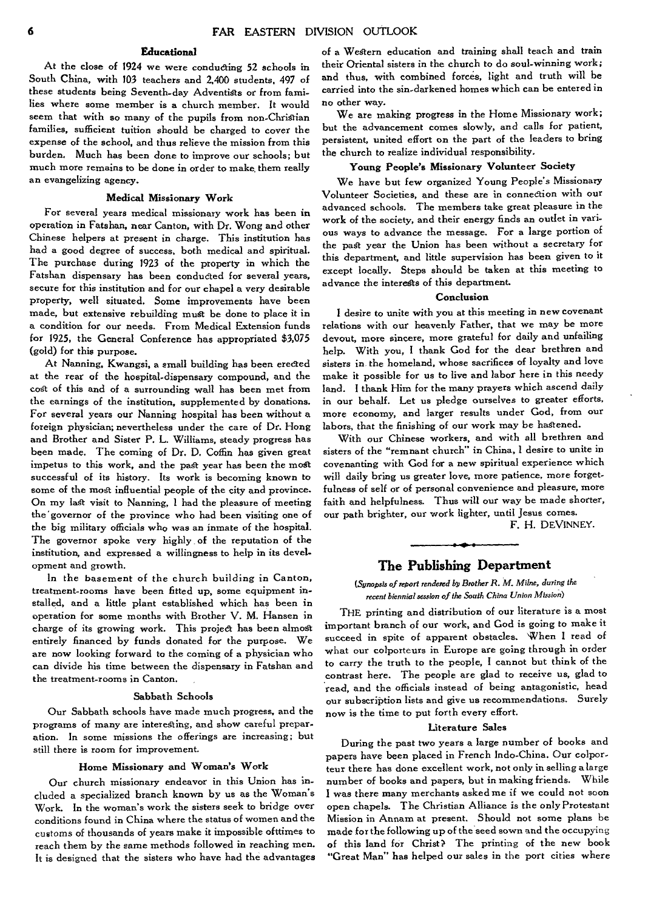#### **Educational**

At the close of 1924 we *were* conducting 52 schools in South China, with 103 teachers and 2,400 students, 497 of these students being Seventh-day Adventists or from families where some member is a church member. It would seem that with so many of the pupils from non-Christian families, sufficient tuition should be charged to cover the expense of the school, and thus relieve the mission from this burden. Much has been done to improve our schools; but much more remains to be done in order to make. them really an evangelizing agency.

#### Medical Missionary Work

For several years medical missionary work has been in operation in Fatshan, near Canton, with Dr. Wong and other Chinese helpers at present in charge. This institution has had a good degree of success, both medical and spiritual. The purchase during 1923 of the property in which the Fatshan dispensary has been conducted for several years, secure for this institution and for our chapel a very desirable property, well situated. Some improvements have been made, but extensive rebuilding must be done to place it in a condition for our needs. From Medical Extension funds for 1925, the General Conference has appropriated \$3,075 (gold) for this purpose.

At Nanning, Kwangsi, a small building has been erected at the rear of the hospital-dispensary compound, and the cost of this and of a surrounding wall has been met from the earnings of the institution, supplemented by donations. For several years our Nanning hospital has been without a foreign physician; nevertheless under the care of Dr. Hong and Brother and Sister P. L. Williams, steady progress has been made. The coming of Dr. D. Coffin has given great impetus to this work, and the past year has been the most successful of its history. Its work is becoming known to some of the most influential people of the city and province. On my last visit to Nanning, I had the pleasure of meeting the "governor of the province who had been visiting one of the big military officials who was an inmate of the hospital. The governor spoke very highly of the reputation of the institution, and expressed a willingness to help in its development and growth.

In the basement of the church building in Canton, treatment-rooms have *been* fitted up, some equipment installed, and a little plant established which has been in operation for some months with Brother V. M. Hansen in charge of its growing work. This project has been almost entirely financed by funds donated for the purpose. We are now looking forward to the coming of a physician who can divide his time between the dispensary in Fatshan and the treatment-rooms in Canton.

#### Sabbath Schools

Our Sabbath schools have made much progress, and the programs of many are interesting, and show careful preparation. In some missions the offerings are increasing; but still there is room for improvement.

#### Home Missionary and Woman's Work

Our church missionary endeavor in this Union has included a specialized branch known by us as the Woman's Work. In the woman's work the sisters seek to bridge over conditions found in China where the status of women and the customs of thousands of years make it impossible ofttimes to reach them by the same methods followed *in* reaching men. It is designed that the sisters who have had the advantages

of a Western education and training shall teach and train their Oriental sisters in the church to do soul-winning work; and thus, with combined forces, light and truth will be carried into the sin-darkened homes which can be entered in no other way.

We are making progress in the Home Missionary work; but the advancement comes slowly, and calls for patient, persistent, united effort on the part of the leaders to bring the church to realize individual responsibility.

#### **Young People's** Missionary **Volunteer Society**

We have but few organized Young People's Missionary Volunteer Societies, and these are in connection with our advanced schools. The members take great pleasure in the work of the society, and their energy finds an outlet in vari*ous* ways to advance the message. For a large portion of the past year the Union has been without a secretary for this department, and little supervision has been given to it except locally. Steps should be taken at this meeting to advance the interests of this department.

#### **Conclusion**

**I** desire to unite with you at this meeting in new covenant relations with our heavenly Father, that we may be more devout, more sincere, more grateful for daily and unfailing help. With you, I thank God for the dear brethren and sisters in the homeland, whose sacrifices of loyalty and love make it possible for us to live and labor here in this needy land. I thank Him for the many prayers which ascend daily in our behalf. Let us pledge ourselves to greater efforts, more economy, and larger results under God, from our labors, that the finishing of our work may be hastened.

With our Chinese workers, and with all brethren and sisters of the "remnant church" in China, I desire to unite in covenanting with God for a new spiritual experience which will daily bring us greater love, more patience, more forgetfulness of self or of personal convenience and pleasure, more faith and helpfulness. Thus will our way be made shorter, our path brighter, our work lighter, until Jesus comes.

F. H. DEVINNEY.

## **The Publishing Department**

#### *(Synopsis of report rendered by Brother R. M. Milne, during the recent biennial session of the South China Union Mission)*

THE printing and distribution of our literature is a most important branch of our work, and God is going to make it succeed in spite of apparent obstacles. When **I** read of what our colporteurs in Europe are going through in order to carry the truth to the people, I cannot but think of the contrast here. The people are glad to receive us, glad to read, and the officials instead of being antagonistic, head our subscription lists and give us recommendations. Surely now is the time to put forth every effort.

#### **Literature Sales**

During the past two years a large number of books and papers have been placed in French Indo-China. Our colporteur there has done excellent work, not only in selling a large number of books and papers, but in making friends. While **<sup>I</sup>**was there many merchants asked me if we could not soon open chapels. The Christian Alliance is the only Protestant Mission in Annam at present. Should not some plans be made for the following up of the seed sown and the occupying of this land for Christ? The printing of the new book "Great Man" has helped our sales in the port cities where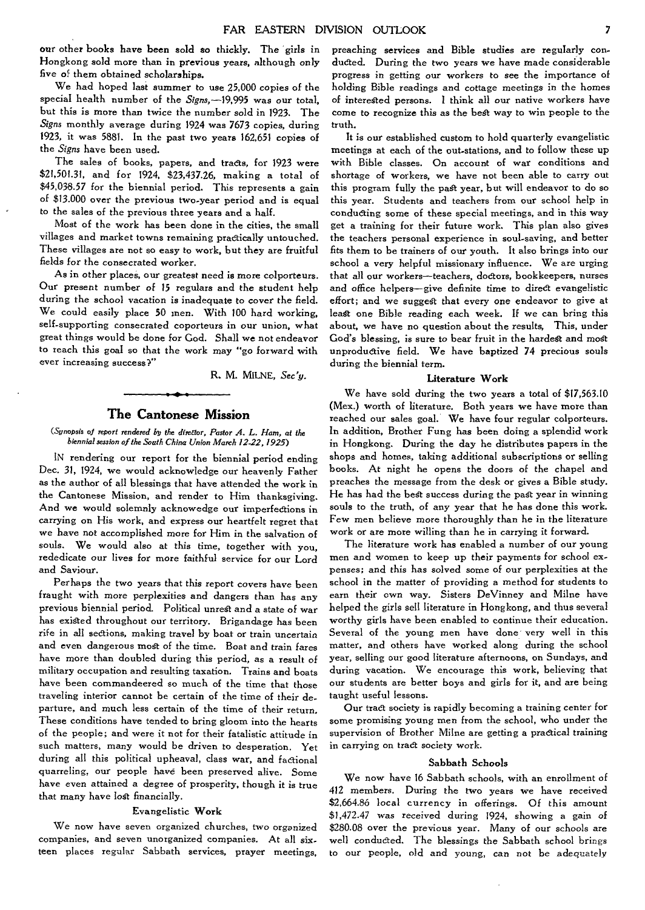our other books *have been* **sold so** thickly. The girls in Hongkong sold more than in *previous* years, although *only*  five of them obtained scholarships.

We had hoped last summer to use 25,000 copies of the special health number of the Signs,-19,995 was our total, but this is more than twice the number sold in 1923. The *Signs* monthly average during 1924 was 7673 copies, during 1923, it was 5881. In the past two years 162,651 copies of the *Signs* have been used.

The sales of books, papers, and tracts, for 1923 were \$21,501.31, and for 1924, \$23,437.26, making a total of \$45,038.57 for the biennial period. This represents a gain of \$13.000 over the previous two-year period and is equal to the sales of the previous three years and a half.

Most of the work has been done in the cities, the small villages and market towns remaining practically untouched. These villages are not so easy to work, but they are fruitful fields for the consecrated worker.

As in other places, our greatest need is more colporteurs. Our present number of 15 *regulars and* the student help during the school vacation is inadequate to cover the field. We could easily place 50 men. With 100 hard working, self-supporting consecrated coporteurs in our union, what great things would be done for Cod. Shall we not endeavor to reach this goal so that the work may "go forward with ever increasing success?"

R. M. MILNE, *Sec y.* 

## **The Cantonese Mission**

*(Synopsis of report rendered by the direttor, Pastor A. L. Ham, at the biennial session of the South China Union March 12-22, 1925)* 

*IN* rendering our report for the biennial period ending Dec. 31, 1924, we would acknowledge our heavenly Father as the author of all blessings that have attended the work in the Cantonese Mission, and render to Him thanksgiving. And we would solemnly acknowedge our imperfections in carrying on His work, and express our heartfelt regret that we have not accomplished more for Him in the salvation of souls. We would also at this time, together with you, rededicate our lives for *more* faithful service for our Lord and Saviour.

Perhaps the two years that this report covers have been fraught with more perplexities and dangers than has any previous biennial period. Political unrest and a state of war has existed throughout our territory. Brigandage has been rife in all sections, making travel by boat or train uncertain and even dangerous most of the time. Boat and train fares have more than doubled during this period, as a result of military occupation and resulting taxation. Trains and boats have been commandeered so much of the time that those traveling interior cannot be certain of the time of their departure, and much less certain of the time of their return. These conditions have tended to bring gloom into the hearts of the people; and were it not for their fatalistic attitude in such matters, many would be driven to desperation. Yet during all this political upheaval, class war, and factional quarreling, our people have been preserved alive. Some have *even* attained a degree of prosperity, though it is true that many have lost financially.

## Evangelistic **Work**

We now have seven organized churches, two organized companies, and seven unorganized companies. At all sixteen places regular Sabbath services, prayer meetings,

preaching services and Bible studies are regularly conducted. During the two years we have made considerable progress in getting our workers to *see* the importance of holding Bible readings and cottage meetings in the homes of interested persons. I think all our native workers have come to recognize this as the *best way* to win people to the truth.

It is our established custom to hold quarterly evangelistic meetings *at* each of the out-stations, and to follow these up with Bible classes. On account of war conditions and shortage of workers, we have not been able to carry out this program fully the past year, but will endeavor to do so this year. Students and teachers from our school help in conducting some of these special meetings, and in this way get a training for their future work. This plan also gives the teachers personal experience in soul-saving, and better fits them to be trainers of our youth. It also brings into our school a very helpful missionary influence. We are urging that all our workers—teachers, doctors, bookkeepers, nurses and *office* helpers—give definite time to direct evangelistic effort; and we suggest that every one endeavor to give at least one Bible reading each week. If we can bring this about, we have no question about the results, This, under God's blessing, is sure to bear fruit in the hardest and most unproductive field. We have baptized 74 precious souls during the biennial term.

#### **Literature Work**

We have sold during the two years a total of \$17,563.10 (Mex.) worth of literature. Both years we have more than reached our sales goal. We have four regular colporteurs. In addition, Brother Fung has been doing a splendid work in Hongkong. During the day he distributes papers in the shops and homes, taking additional subscriptions or selling books. At night he opens the doors of the chapel and preaches the message from the desk or gives a Bible study. He has had the best success during the past year in winning souls to the truth, of any year that he has done this work. Few men believe more thoroughly than he in the literature work or are more willing than he in carrying it forward.

The *literature* work has enabled a number of our young men and women to keep up their payments for school expenses; and this has solved some of our perplexities at the school in the matter of providing a method for students to earn their own way. Sisters DeVinney and Milne have helped the girls sell literature in Hongkong, and thus several worthy girls have been enabled to continue their education. Several of the young men have done very well in this matter, and others have worked along during the school year, selling our good literature afternoons, on Sundays, and during vacation. We encourage this work, believing that our students are better boys and girls for it, and are being taught useful lessons.

Our tract society is rapidly becoming a training center for some promising young men from the school, who under the supervision of Brother Milne are getting a practical training in carrying on tract society work.

#### **Sabbath Schools**

We now have 16 Sabbath schools, with an enrollment of 412 members. During the two years we have received \$2,664.86 local currency in offerings. Of this amount \$1,472.47 *was* received during 1924, showing a gain of \$280.08 over the previous year. Many of our schools are well conducted. The blessings the Sabbath school brings to our people, old and young, can not be adequately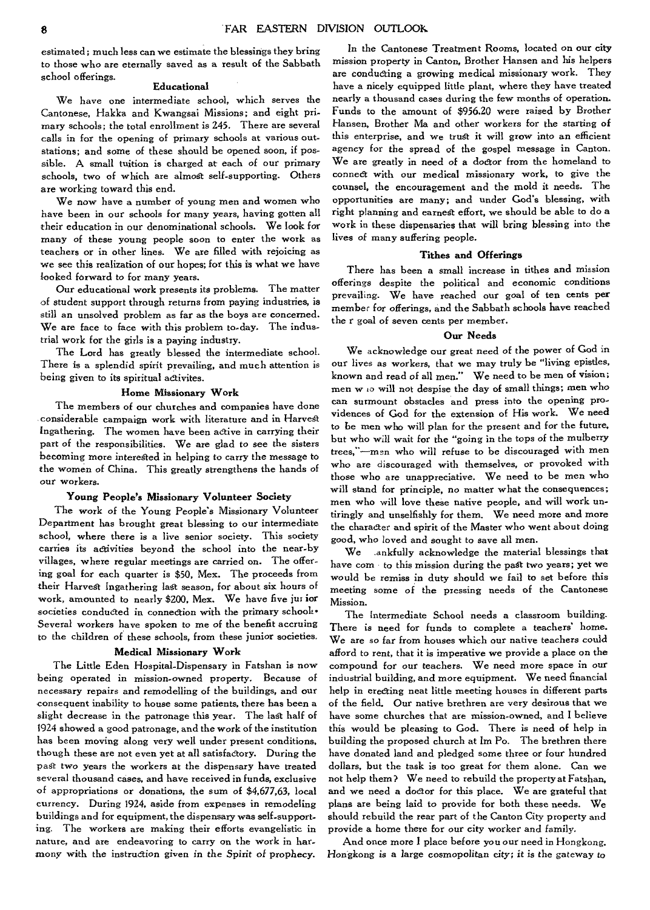estimated; much less can we estimate the blessings they bring to those who are eternally saved as a result of the Sabbath school offerings.

#### Educational

We have one intermediate school, which serves the Cantonese, Hakka and Kwangsai Missions; and eight primary schools; the total enrollment is 245. There are several calls in for the opening of primary schools at various outstations; and some of these should be opened soon, if possible. A small tuition is charged at each of our primary schools, two of which are almost self-supporting. Others are working toward this end.

We now have a number of young men and women who have been in our schools for many years, having gotten all their education in our denominational schools. We look for many of these young people soon to enter the work as teachers or in other lines. We are filled with rejoicing as we see this realization of our hopes; for this is what we have looked forward to for many years.

Our educational work presents its problems. The matter of student support through returns from paying industries, is still an unsolved problem as far as the boys are concerned. We are face to face with this problem to-day. The industrial work for the girls is a paying industry.

The Lord has greatly blessed the intermediate school. There is a splendid spirit prevailing, and much attention is being given to its spiritual activites.

## **Home Missionary Work**

The members of our churches and companies have done considerable campaign work with literature and in Harvest Ingathering. The women have been active in carrying their part of the responsibilities. We are glad to see the sisters becoming more interested in helping to carry the message to the *women* of China. This greatly strengthens the hands of our workers.

#### **Young People's Missionary Volunteer Society**

The work of the Young People's Missionary Volunteer Department has brought great blessing to our intermediate school, where there is a live senior society. This society carries its activities beyond the school into the near-by villages, where regular meetings are carried on. The offering goal for each quarter is \$50, Mex. The proceeds from their Harvest Ingathering last season, for about six hours of work, amounted to nearly \$200, Mex. We have five jut **for**  societies conducted in connection with the primary schools• Several workers have spoken to me of the benefit accruing to the children of these schools, from these junior societies,

#### **Medical Missionary Work**

The Little Eden Hospital-Dispensary in Fatshan is now being operated in mission-owned property. Because of necessary repairs and remodelling of the buildings, and our consequent inability to house some patients, there has been a slight decrease in the patronage this year. The last half of 1924 showed a good patronage, and the work of the institution has been moving along very well under present conditions, though these are not even yet at all satisfactory. During the past two years the workers at the dispensary have treated several thousand cases, and have received in funds, exclusive of appropriations or donations, the sum of \$4,677,63, local currency. During 1924, aside from expenses in remodeling buildings and for equipment, the dispensary was self-supporting. The workers are making their efforts evangelistic in nature, and are endeavoring to carry on the work in harmony with the instruction given in the *Spirit* of prophecy.

In the Cantonese Treatment Rooms, located on our city mission property in Canton, Brother Hansen and his helpers are conducting a growing medical missionary work. They have a nicely equipped little plant, where they have treated nearly a thousand cases during the few months of operation. Funds to the amount of \$956.20 were raised by Brother Hansen, Brother Ma and other workers for the starting **of**  this enterprise, and we trust it will grow into an efficient agency for the spread of the gospel message in Canton. We are greatly in need of a doctor from the homeland to connect with our medical missionary work, to give the counsel, the encouragement and the mold it needs. The opportunities are many; and under God's blessing, with right planning and earnest effort, we should be able to do a work in these dispensaries that will bring blessing into the lives of many suffering people.

#### **Tithes and Offerings**

There has been a small increase in tithes and mission offerings despite the political and economic conditions prevailing. We have reached our goal of ten cents per member for offerings, and the Sabbath schools have reached the r goal of seven cents per member.

#### **Our Needs**

We acknowledge our great need of the power of God in our lives as workers, that we may truly be "living epistles, known and read of all men." We need to be men of vision; men w to will not despise the day of small things; men who can surmount obstacles and press into the opening pro, vidences of God for the extension of His work. We need to be men who will plan for the present and for the future, but who will wait for the "going in the tops of the mulberry trees,"-men who will refuse to be discouraged with men who are discouraged with themselves, or provoked with those who are unappreciative. We need to be men who will stand for principle, no matter what the consequences; men who will love these native people, and will work untiringly and unselfishly for them. We need more and more the character and spirit of the Master who went about doing good, who loved and sought to save all men.

We .ankfully acknowledge the material blessings that have com to this mission during the past two years; yet we would be remiss in duty should we fail to set before this meeting some of the pressing needs of the Cantonese Mission.

The Intermediate School needs a classroom building. There is need for funds to complete a teachers' home. We are so far from houses which our native teachers could afford to rent, that it is imperative we provide a place on the compound for our teachers. We need more space in our industrial building, and more equipment. We need financial help in erecting neat little meeting houses in different parts of the field. Our native brethren are very desirous that we have some churches that are mission-owned, and I believe this would be pleasing to God. There is need of help in building the proposed church at Im Po. The brethren there have donated land and pledged some three or four hundred dollars, but the task is too great for them alone. Can we not help them? We need to rebuild the property at Fatshan, and we need a doctor for this place. We are grateful that plans are being laid to provide for both these needs. We should rebuild the rear part of the Canton City property and provide a home there for our city worker and family.

And once more I place before you our need in Hongkong. Hongkong is a large cosmopolitan city; it is the gateway to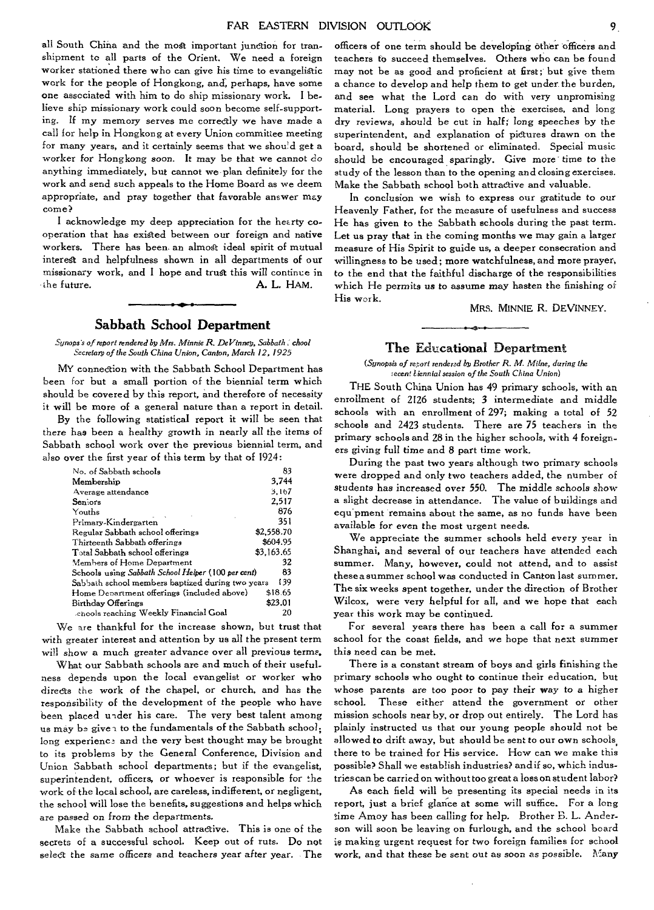all South China and the most important junction for transhipment to all parts of the Orient. We need a foreign worker stationed there who can give his time to evangelistic work for the people of Hongkong, and, perhaps, have some one associated with him to do ship missionary work. I believe ship missionary work could soon become self-supporting. If my memory serves me correctly we have made a call for help in Hongkong at every Union committee meeting for many years, and it certainly seems that we shou'd get a worker for Hongkong soon. It *may* be that we cannot do anything immediately, but cannot we plan definitely for the work and send such appeals to the Home Board as we deem appropriate, and pray together that favorable answer may come?

I acknowledge my deep appreciation for the heerty cooperation that has existed between our foreign and native workers. There has been an almost ideal spirit of mutual interest and helpfulness shown in all departments of our missionary work, and I hope and trust this will continue in the future. A. L. HAM.

## Sabbath School Department

*Synops's of report rendered by Mrs. Minnie R. DeVinney, Sabbath , chool Secretary of the South China Union, Canton, March 12, 1925* 

MY connection with the Sabbath School Department has been for but a small portion of the biennial term which should be covered by this report, and therefore of necessity it will be more of a general nature than a report in detail.

By the following statistical report it will be seen that there has *been* a healthy growth in nearly all the items of Sabbath school work over the previous biennial term, and also over the first year of this term by that of 1924:

| No. of Sabbath schools                             | 83         |
|----------------------------------------------------|------------|
| Membership                                         | 3.744      |
| Average attendance                                 | 3.167      |
| Seniors                                            | 2.517      |
| Youths                                             | 876        |
| Primary-Kindergarten                               | 351        |
| Regular Sabbath school offerings                   | \$2,558.70 |
| Thirteenth Sabbath offerings                       | \$604.95   |
| Total Sabbath school offerings                     | \$3,163.65 |
| Members of Home Department                         | 32         |
| Schools using Sabbath School Helper (100 per cent) | 83         |
| Sabbath school members baptized during two years   | 139        |
| Home Department offerings (included above)         | \$18.65    |
| Birthday Offerings                                 | \$23.01    |
| chools reaching Weekly Financial Goal              | 20         |

We are thankful for the increase shown, but trust that with greater interest and attention by us all the present term will show a much greater advance over all previous terms.

What our Sabbath schools are and much of their usefulness depends upon the local evangelist or worker who directs the work of the chapel, or church, and has the responsibility of the development of the people who have been placed under his care. The very best talent among us may be given to the fundamentals of the Sabbath school: long experience and the very best thought may be brought to its problems by the General Conference, Division and Union Sabbath school departments; but if the evangelist, superintendent, officers, or whoever is responsible for the work of the local school, are careless, indifferent, or negligent, the school will lose the benefits, suggestions and helps which are passed on from the departments.

Make the Sabbath school attractive. This is one of the secrets of a successful school. Keep out of ruts. Do not select the same officers and teachers year after year. The officers of one term should be developing other officers and teachers to succeed themselves. Others who can be found may not be as good and proficient at first; but give them a chance to develop and help them to get under the burden, and see what the Lord can do with very unpromising material. Long prayers to open the exercises, and long dry *reviews,* should be cut in half; long speeches by the superintendent, and explanation of pictures drawn on the board, should be shortened or eliminated. Special music should be encouraged sparingly. Give more *time* to the study of the lesson than to the opening and closing exercises. Make the Sabbath school both attractive and valuable.

In conclusion we wish to express our gratitude to our Heavenly Father, for the measure of usefulness and success He has given to the Sabbath schools during the past term. Let us pray that in the coming months we may gain a larger measure of His Spirit to guide us, a deeper consecration and willingness to be used; more watchfulness, and more prayer, to the end that the faithful discharge of the responsibilities which He *permits us to assume may hasten* the finishing of His work.

MRS. MINNIE R. DEVINNEY.

## The Educational Department

(Synopsis of report rendered by Brother R. M. Milne, during the *:ecent biennial session of the South China Union)* 

THE South China Union has 49 primary schools, with an enrollment of 2126 students; 3 intermediate and middle schools with an enrollment of 297; making a total of 52 schools and 2423 students. There are 75 teachers in the primary schools and 28 in the higher schools, with 4 foreigners giving full time and 8 part time work.

During the past two years although two primary schools were dropped and only two teachers added, the number of *students* has increased over 550. The middle schools show a slight decrease in attendance. The value of buildings and *equ'* pment remains about the same, as no funds have been available for even the most urgent needs.

We appreciate the summer schools held every year in Shanghai, and several of our teachers have attended each summer. Many, however, could not attend, and to assist these a summer school was conducted in Canton last summer. The six weeks spent together, under the direction of Brother Wilcox, were very helpful for all, and we hope that each year this work may be continued.

For several years there has been a call for a summer school for the coast fields, and we hope that next summer this need can be met.

There is a constant stream of boys and girls finishing the primary schools who ought to continue their education, but whose parents are too poor to pay their way to a higher school. These either attend the government or other mission schools near by, or drop out entirely. The Lord has plainly instructed us that our young people should not be allowed to drift away, but should be sent to our own schools, there to be trained for His service. How can we make this possible? Shall we establish industries? and if so, which industries can be carried on without too great a loss on student labor?

As each field will be presenting its special needs in its report, just a brief glance at some will suffice. For a long time Amoy has been calling for help. Brother B. L. Anderson will soon be leaving on furlough, and the school board is making urgent request for two foreign families for school work, and that these be sent out as soon as possible. Many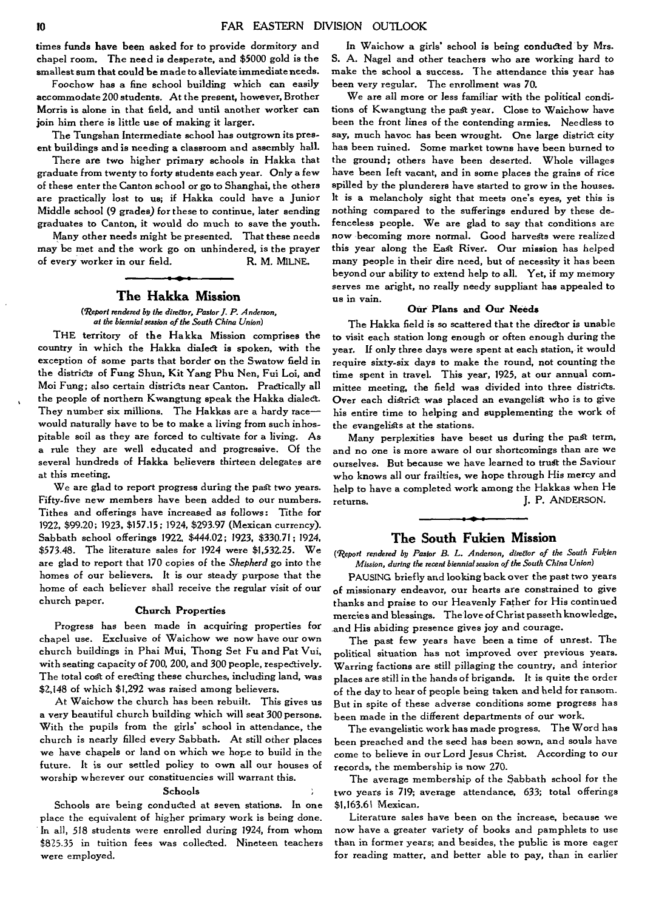times funds have been asked for to provide dormitory and chapel room. The need is desperate, and \$5000 gold is the smallest sum that could be made to alleviate immediate needs.

Foochow has a fine school building which can easily accommodate 200 students. At the present, however, Brother Morris is alone in that field, and until another worker can join him there is little use of making it larger.

The Tungshan Intermediate school has outgrown its present buildings and is needing a classroom and assembly hall.

There are two higher primary schools in Hakka that graduate from twenty to forty students each year. Only a few of these enter the Canton school or go to Shanghai, the others are practically lost to us; if Hakka could have a Junior Middle school (9 grades) for these to continue, later sending graduates to Canton, it would do much to *save the* youth.

Many other needs might be presented. That these needs may be met and the work go on unhindered, is the prayer of every worker in our field. R. M. MILNE.

## **The Hakka Mission**

*(Report rendered by the direaor, Pastor J. P. Anderson, at the biennial session of the South China Union)* 

THE territory of the Hakka Mission comprises the country in which the Hakka dialed is spoken, with the exception of some parts that border on the Swatow field in the districts of Fung Shun, Kit Yang Phu Nen, Fui Loi, and Moi Fung; also certain districts near Canton. Practically all the people of northern Kwangtung speak the Hakka dialect. They number six millions. The Hakkas are a hardy race would naturally have to be to make a living from such inhospitable soil as they are forced to cultivate for a living. As *a* rule they are well educated and progressive. Of the several hundreds of Hakka believers thirteen delegates are at this meeting.

We are glad to report progress during the past two years. Fifty-five new members have been added to our numbers. Tithes and offerings have increased as follows: Tithe for 1922, \$99.20; 1923, \$157.15; 1924, \$293.97 (Mexican currency). Sabbath school offerings 1922, \$444.02 ; 1923, \$330.71; 1924, \$573.48. The literature sales for 1924 were \$1,532.25. We are glad to report that 170 copies of the *Shepherd* go into the homes of our believers. It is our steady purpose that the home of each believer shall receive the regular visit of our church paper.

#### **Church Properties**

Progress has been made in acquiring properties for chapel use. Exclusive of Waichow we now have our own church buildings in Phai Mui, Thong Set Fu and Pat Vui, with seating capacity of 700, 200, and 300 people, respectively. The total cost of erecting these churches, including land, was \$2,148 of which \$1,292 was raised among believers.

At Waichow the church has been rebuilt. This gives us a very beautiful church building which will seat 300 persons. With the pupils from the girls' school in attendance, the church is nearly filled every Sabbath. At still other places we have chapels or land on which we hope to build in the future. It is our settled policy to own all our houses of worship wherever our constituencies will warrant this.

#### **Schools**

Schools are being conducted at seven stations. In one place the equivalent of higher primary work is being done. In all, 518 students were enrolled during 1924, from whom \$825.35 in tuition fees was collected. Nineteen teachers were employed.

In Waichow a girls' school is being conducted by Mrs. S. A. Nagel and other teachers who are working hard to make the school a success. The attendance this year has been very regular. The enrollment was 70.

We are all more or less familiar with the political conditions of Kwangtung the past year. Close to Waichow have been the front lines of the contending armies. Needless to say, much havoc has been wrought. One large district city has been ruined. Some market towns have been burned to the ground; others have been deserted. Whole villages have been left vacant, and in some places the grains of rice spilled by the plunderers have started to grow in the houses. It is a melancholy sight that meets one's eyes, yet this is nothing compared to the sufferings endured by these defenceless *people.* We are glad to say that conditions are now becoming more normal. Good harvests were realized this year along the *East* River. Our mission has helped many people in their dire need, but of necessity it has been beyond our ability to extend help to all. Yet, if my memory serves me aright, no really needy suppliant has appealed to us in vain.

## **Our Plans and Our Needs**

The Hakka field is so scattered that the director is unable to visit each station long enough or often enough during the year. If only three days were spent at each station, it would require sixty-six days to make the round, not counting the time spent in travel. This *year,* 1925, at our annual committee meeting, the field was divided into three districts. Over each district was placed an evangelist who is to give his entire time to helping and supplementing the work of the evangelists at the stations.

Many perplexities have beset us during the past term, and no one is more aware ol our shortcomings than are we ourselves. But because we have learned to trust the Saviour who knows *all* our frailties, we hope through His mercy and help to have a completed work among the Hakkas when He returns. J. P. ANDERSON.

## **The South Fukien Mission**

*(Report rendered by Pastor B. L. Anderson, dire5tor of the South Fukien Mission, during the recent biennial session of the South China Union)* 

PAUSING briefly and looking back over the past two years of missionary endeavor, our hearts *are* constrained to give thanks and praise to our Heavenly Father for His continued mercies and blessings. The love of Christ passeth knowledge, and His abiding presence gives joy and courage.

The past few years have been a time of unrest. The political situation has not improved over previous years. Warring factions are still pillaging the country, and interior places are still in the hands of brigands. It is quite the order of the day to hear of people being taken and held for ransom. But in spite of these adverse conditions some progress has been made in the different departments of our work.

The evangelistic work has made progress. The Word has been preached and the seed has been sown, and souls have come to believe in our Lord Jesus Christ. According to our records, the membership is now 270.

The average membership of the Sabbath school for the two years is 719; average attendance, 633; total offerings \$1,163.61 Mexican.

Literature sales have been on the increase, because we now have a greater variety of books and pamphlets to use than in former years; and besides, the public is more eager for reading matter, and better able to pay, than in earlier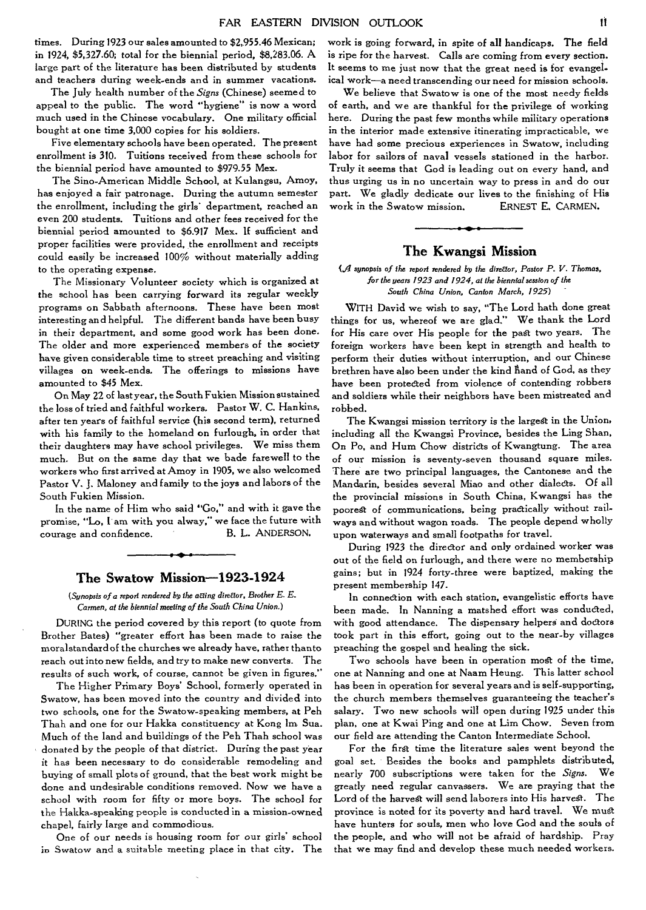times. **During 1923 our sales amounted to \$2,955.46 Mexican; in 1924, \$5,327.60; total for the biennial period, \$8,283.06. A large part of the literature has been distributed by students and teachers during week-ends and in summer vacations.** 

**The July health number of the** *Signs* **(Chinese) seemed to appeal to the public. The word "hygiene" is now a word much used in the Chinese vocabulary. One military official bought at one time 3,000 copies for his soldiers.** 

**Five elementary schools have been operated. The present enrollment is 310. Tuitions received from these schools for the biennial period have amounted to \$979.55 Mex.** 

**The Sino-American Middle School, at Kulangsu, Amoy, has enjoyed a fair patronage. During the autumn semester the enrollment, including the girls' department, reached an even 200 students. Tuitions and other fees received for the biennial period amounted to \$6.917 Mex. If sufficient and proper facilities were provided, the enrollment and receipts could easily be increased 100% without materially adding to the operating expense.** 

**The Missionary Volunteer society which is organized at the school has been carrying forward its regular weekly programs on Sabbath afternoons. These have been most interesting and helpful. The different bands have been busy in their department, and some good work has been done. The older and more experienced members of the society have given considerable time to street preaching and visiting villages on week-ends. The offerings to missions have amounted to \$45 Mex.** 

**On May 22 of last year, the South Fukien Mission sustained the loss of tried and faithful workers. Pastor W. C. Hankins, after ten years of faithful service (his second term), returned with his family to the homeland on furlough, in order that their daughters may have school privileges. We miss them much. But on the same day that we bade farewell to the workers who first arrived at Amoy in 1905, we also welcomed Pastor V. J. Maloney and family to the joys and labors of the South Fukien Mission.** 

**In the name of Him who said "Go," and with it gave the promise, "Lo, I am with you alway," we face the future with courage and confidence. B. L.** ANDERSON.

## **The Swatow Mission-1923-1924**

*(Synopsis of a report rendered by the aEting director,* Brother *E. E. Carmen, at the biennial meeting of the South China Union.)* 

DURING **the period covered by this report (to quote from Brother Bates) "greater effort has been** made to **raise the moralstandard of the churches we already have, rather thanto reach out into new fields, and try to make new converts. The results of such work, of course, cannot be given in figures."** 

**The Higher Primary Boys' School, formerly operated in Swatow, has been moved into the** country **and divided into two schools, one for the Swatow-speaking members, at Peh Thah and one for our Hakka constituency at Kong Im, Sua. Much of the land and buildings of the Peh Thah school was donated by the people of that district. During the past year it has been necessary to do considerable remodeling and buying of small plots of ground, that the best work might be done and undesirable conditions removed. Now we have a school with room for fifty or more boys. The school for**  the **Hakka-speaking people is conducted in a mission-owned chapel, fairly large and commodious.** 

**One of our needs is housing room for our girls' school in Swatow and a** suitable **meeting place in that city. The** 

**work is going forward, in spite of all handicaps. The field is ripe for the harvest. Calls are coming from every section. It seems to me just now that the great need is for evangelical work—a need transcending our need for mission schools.** 

**We believe that Swatow is one of the most** needy **fields of earth, and we are thankful for the privilege of working here. During the past few months while military operations in the interior made extensive itinerating impracticable, we have had some precious experiences in Swatow, including labor for sailors of naval vessels stationed in the harbor. Truly it seems that God is leading out on every hand, and thus urging us in no uncertain way to press in and do our part. We gladly dedicate our lives to the finishing of His work in the Swatow mission.** ERNEST **E.** CARMEN.

## **The Kwangsi Mission**

#### *(di* synopsis of *the report rendered by the direffor, Pastor P. V. Thomas, for the years 1923 and 1924, at the biennial session of the South China Union, Canton March, 1925)*

WITH **David we wish to say, "The Lord bath done great things for us, whereof we are glad." We thank the Lord for His care over His people for the past two years. The foreign workers have been kept in strength and health to perform their duties without interruption, and** our Chinese **brethren have also been under the kind Band of God, as they have been protected from violence of contending robbers and soldiers while their neighbors have been mistreated and robbed.** 

**The Kwangsi mission territory is the largest in the Union, including all the Kwangsi Province, besides the Ling Shan, On Po, and Hum Chow districts of Kwangtung. The area of our mission is seventy-seven thousand square miles. There are two principal languages, the Cantonese and the Mandarin, besides several Miao and other dialects. Of all the provincial missions in South China, Kwangsi has the poorest of communications, being practically without railways and without wagon roads. The people depend wholly upon waterways and small footpaths for travel.** 

**During 1923 the director and only ordained worker was out of the field on furlough, and there were no membership gains; but in 1924 forty-three were baptized, making the present membership 147.** 

**In** connection **with each station, evangelistic efforts have**  been made. In Nanning a matshed effort was conducted, **with good attendance. The dispensary helpers and doctors took part in this effort, going out to the near-by villages preaching the gospel and healing the sick.** 

**Two schools have been in operation most of the time, one at Nanning and one at Naam Heung. This latter school has been in operation for several years** and **is self-supporting, the church members themselves guaranteeing the teacher's salary. Two new schools will open during 1925 under this plan, one at Kwai Ping and one at Lim Chow. Seven from our field are attending the Canton Intermediate School.** 

**For the first time the literature sales went beyond the goal set. Besides the books and pamphlets distributed, nearly 700 subscriptions were taken for the** *Signs.* **We greatly need regular canvassers. We are praying that the Lord of the harvest will send laborers into His harvest. The province is noted for its poverty and hard travel. We must have hunters for souls, men who love God and the souls of the people, and who will not be afraid of hardship.** Pray **that we may find and develop these much needed** workers.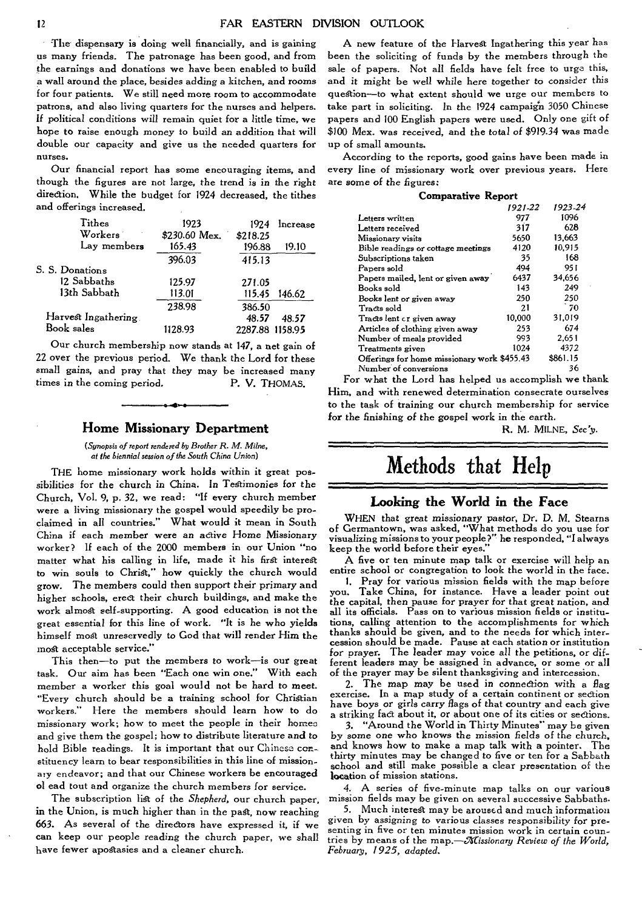The dispensary is doing well financially, and is gaining us many friends. The patronage has been good, and from the earnings and donations we have been enabled to build a wall around the place, besides adding a kitchen, and rooms for four patients. We still need more room to accommodate patrons, and also living quarters for the nurses and helpers. If political conditions will remain quiet for a little time, we hope to raise enough money to build an addition that will double our capacity and give us the needed quarters for nurses.

Our financial report has some encouraging items, and though the figures are not large, the trend *is in* the right direction. While the budget for 1924 decreased, the tithes and offerings increased.

| Tithes              | 1923          | 1924            | Increase |
|---------------------|---------------|-----------------|----------|
| Workers             | \$230.60 Mex. | \$218.25        |          |
| Lay members         | 165.43        | 196.88          | 19.10    |
|                     | 396.03        | 415.13          |          |
| S. S. Donations     |               |                 |          |
| 12 Sabbaths         | 125.97        | 271.05          |          |
| 13th Sabbath        | 113.01        | 115.45          | 146.62   |
|                     | 238.98        | 386.50          |          |
| Harvest Ingathering |               | 48.57           | 48.57    |
| Book sales          | 1128.93       | 2287.88 1158.95 |          |

Our church membership now stands at 147, a net gain of 22 over the previous period. We thank the Lord for these small gains, and pray that they may be increased many times in the coming period. P. V. THOMAS.

## **Home Missionary Department**

(Synopsis of report rendered by Brother R. M. Milne, at the biennial session of the South China Union)

THE home missionary work holds within it great possibilities for the church in China. In Testimonies for the Church, Vol. 9, p. 32, we read: "If every church member were a living missionary the gospel would speedily be proclaimed in all countries." What would it mean in South China if each member were an active Home Missionary worker? If each of the 2000 members in our Union "no matter what his calling in life, made it his first interest to win souls to Christ," how quickly the church would grow. The members could then support their primary and higher schools, erect their church buildings, and make the work almost self-supporting. A good education is not the great essential for this line of work. "It is he who yields himself most unreservedly to God that will render Him the most acceptable service."

This then—to put the members to work—is our great task. Our aim has been "Each one win one." With each member a worker this goal would not be hard to meet. "Every church should be a training school for Christian workers." Here the members should learn how to do missionary work; how to meet the people in their homer and give them the gospel; how to distribute literature and to hold Bible readings. It is important that our Chinese con-. stituency learn to bear responsibilities in this line of mission.. ary endeavor; and that our Chinese workers be encouraged ol ead tout and organize the church members for service.

The subscription list of the *Shepherd,* our church paper, **in** the Union, is much higher than in the past, now reaching 663. As several of the directors have expressed it, if we can keep our people reading the church paper, we shall have fewer apostasies and a cleaner church.

A new feature of the Harvest Ingathering this year has been the soliciting of funds by the members through the sale of papers. Not all fields have felt free to urge this, and *it* might be well while here together to consider this question—to what extent should we urge our members to take part in soliciting. In the 1924 campaign 3050 Chinese papers and 100 English papers were used. Only one gift of \$100 Mex. was received, and the total of \$919.34 was made up of small amounts.

According to the reports, good gains have been made in every line of missionary work over previous years. Here are some of the figures:

| <b>Comparative Report</b>                   |         |          |  |  |
|---------------------------------------------|---------|----------|--|--|
|                                             | 1921-22 | 1923-24  |  |  |
| Letters written                             | 977     | 1096     |  |  |
| Letters received                            | 317     | 628      |  |  |
| Missionary visits                           | 5650    | 13.663   |  |  |
| Bible readings or cottage meetings          | 4120    | 10,915   |  |  |
| Subscriptions taken                         | 35      | 168      |  |  |
| Papers sold                                 | 494     | 951      |  |  |
| Papers mailed, lent or given away           | 6437    | 34.656   |  |  |
| Books sold                                  | 143     | 249      |  |  |
| Books lent or given away                    | 250     | 250      |  |  |
| Tracts sold                                 | 21      | 70       |  |  |
| Tracts lent or given away                   | 10.000  | 31,019   |  |  |
| Articles of clothing given away             | 253     | 674      |  |  |
| Number of meals provided                    | 993     | 2.651    |  |  |
| Treatments given                            | 1024    | 4372     |  |  |
| Offerings for home missionary work \$455.43 |         | \$861.15 |  |  |
| Number of conversions                       |         | 36       |  |  |

For what the Lord has helped us accomplish we thank Him, and with renewed determination consecrate ourselves to the task of training our church membership for service for the *finishing of the gospel* work *in* the earth.

R. M. MILNE, *Seey.* 

## **Methods that Help**

#### **Looking the World in the Face**

WHEN that great *missionary* pastor, Dr. D. M. Stearns of Germantown, was asked, "What methods do you use for visualizing missions to your people?" he responded, "I always keep the world before their eyes."

A five or ten minute map talk or exercise will help an entire school or congregation to look the world in the face.

1. Pray for various mission fields with the map before you. Take China, for instance. Have a leader point out the *capital,* then pause *for* prayer for that great nation, and all its officials. Pass on to various mission fields or institutions, calling attention to the accomplishments for which thanks should be given, and to the needs for which inter-cession should be made. Pause at each station or institution for prayer. The leader may *voice* all the petitions, or different leaders may be assigned in advance, or some or all of the prayer may be silent thanksgiving and intercession.

2. The *map may* be used in connection with a flag exercise. In a map study of a certain continent or section have boys or girls carry flags of that country and each give a striking fact about it, or about one of its cities or sections.

3. "Around the World in Thirty Minutes" may be given by some one who knows the *mission fields* of the church, and knows how to make a map talk with a pointer. thirty minutes may be changed to five or ten for a Sabbath school and still make possible a clear presentation of the location of mission stations.

4. A series of five-minute map talks on our various mission fields may be given on several successive Sabbaths.

5. Much interest may be aroused and much information given by *assigning to various classes* responsibility for presenting in five or ten minutes mission work in certain countries by means of the map.<sup>-</sup> Missionary Review of the World, *February, 1925, adapted.*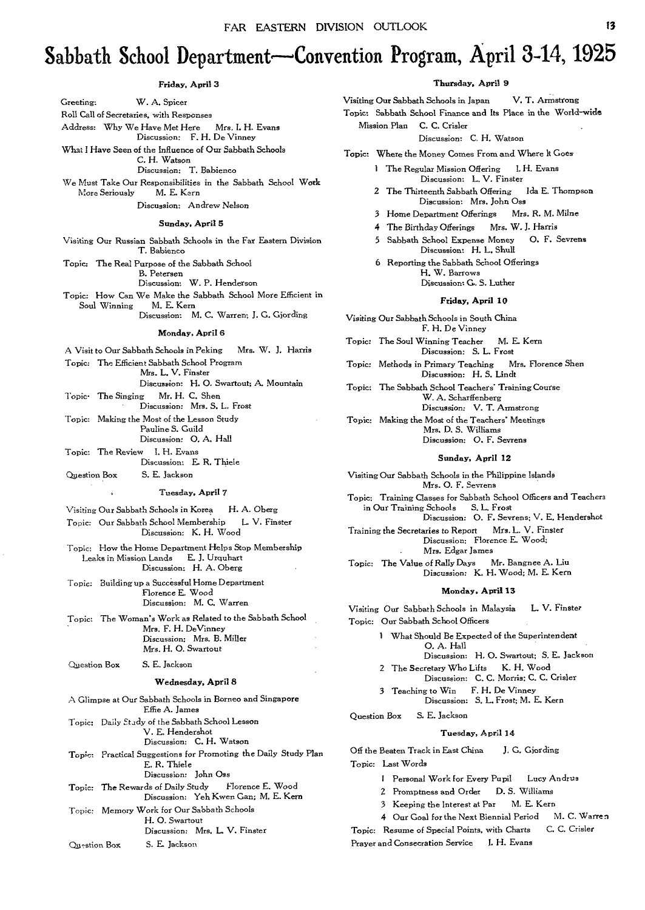## **Sabbath School Department—Convention Program, April 3-14, 1925**

#### Friday, April 3

Greeting: W. A. Spicer

Roll Call of Secretaries, with Responses Address: Why We Have Met Here Mrs. I. H. Evans Discussion: F. H. De Vinney What I Have Seen of the Influence of Our Sabbath Schools C. H. Watson Discussion: T. Babienco We Must Take Our Responsibilities in the Sabbath School Work<br>More Seriously M. E. Kern More Seriously Discussion: Andrew Nelson Sunday, April 5 Visiting Our Russian Sabbath Schools in the Far Eastern Division T. Babienco Topic: The Real Purpose of the Sabbath School B. Petersen Discussion: W. P. Henderson Topic: How Can We Make the Sabbath School More Efficient in Soul Winning Discussion: M. C. Warren; J. G. Gjording Monday, April 6 A Visit to Our Sabbath Schools in Peking Mrs. W. 3. Harris Topic: The Efficient Sabbath School Program Mrs. L. V. Finster Discussion: H. 0. Swartout; A. Mountain Topic• The Singing Mr. H. C. Shen Discussion: Mrs. S. L. Frost Topic: Making the Most of the Lesson Study Pauline S. Guild Discussion: 0. A. Hall Topic: The Review I. H. Evans Discussion: E. R. Thiele Question Box S. E. Jackson Tuesday, April 7  $\Delta$ Visiting Our Sabbath Schools in Korea H. A. Oberg Topic: Our Sabbath School Membership L. V. Finster Discussion: K. H. Wood Topic: How the Home Department Helps Stop Membership Leaks in Mission Lands E. J. Urquhart Discussion: H. A. Oberg Topic: Building up a Successful Home Department Florence E. Wood Discussion: M. C. Warren Topic: The Woman's Work as Related to the Sabbath School Mrs. F. H. DeVinney Discussion: Mrs. B. Miller Mrs. H. 0. Swartout Question Box S. E. Jackson Wednesday, April 8 A Glimpse at Our Sabbath Schools in Borneo and Singapore Effie A. James Topic: Daily Stady of the Sabbath School Lesson V. E. Hendershot Discussion: C. H. Watson Topic: Practical Suggestions for Promoting the Daily Study Plan E. R. Thiele Discussion: John Oss Topic: The Rewards of Daily Study Florence E. Wood Discussion: Yeh Kwen Gan; M. E. Kern Topic: Memory Work for Our Sabbath Schools H. 0. Swartout Discussion: Mrs. L. V. Finster Question Box S. E. Jackson

#### Thursday, April 9

Visiting Our Sabbath Schools in Japan V. T. Armstrong

Topic: Sabbath School Finance and Its Place in the World-wide Mission Plan C. C. Crisler

Discussion: C. H. Watson

Topic: Where the Money Comes From and Where It Goes

- 1 The Regular Mission Offering I. H. Evans Discussion: L. V. Finster
- 2 The Thirteenth Sabbath Offering Ida E. Thompson Discussion: Mrs. John *Oss*
- 3 Home Department Offerings Mrs. R. M. Milne
- 4 The Birthday Offerings Mrs. W. J. Harris
- 5 Sabbath School Expense Money 0. F. Sevrens Discussion: H. L. Shull
- 6 Reporting the Sabbath School Offerings H. W. Barrows Discussion: G. S. Luther

## Friday, April 10

- 
- Visiting Our Sabbath Schools in South China F. H. De Vinney
- Topic: The Soul Winning Teacher M. E. Kern Discussion: S. L. Frost
- Topic: Methods in Primary Teaching Mrs. Florence Shen Discussion: H. S. Lindt
- Topic: The Sabbath School Teachers' Training Course W. A. Scharffenberg Discussion: V. T. Armstrong
- Topic: Making the Most of the Teachers' Meetings Mrs. D. S. Williams Discussion: 0. F. Sevrens

#### Sunday, April 12

- Visiting **Our** Sabbath Schools in the Philippine Islands Mrs. 0. F. Sevrens
- Topic: Training Classes for Sabbath School Officers and Teachers in Our Training Schools S. L. Frost
- Discussion: 0. F. Sevrens; V. E. Hendershot Training the Secretaries to Report Mrs. L. V. Finster Discussion: Florence E. Wood; . Mrs. Edgar James
- Topic: The Value of Rally Days Mr. Bangnee A. Liu Discussion: K. H. Wood; M. E. Kern

#### Monday, April 13

Visiting **Our** Sabbath Schools in Malaysia L. V. Finster Topic: Our Sabbath School Officers

- 1 What Should Be Expected of the Superintendent 0. A. Hall
- Discussion: H. 0. Swartout; S. E. Jackson 2 The Secretary Who Lifts K. H. Wood
- Discussion: C. C. Morris; C. C. Crisler 3 Teaching to Win F. H. De Vinney
	- Discussion: S. L. Frost; M. E. Kern
- Question Box S. E. Jackson

#### Tuesday, April 14

Off the Beaten Track in East China J. G. Giording Topic: Last Words

- 1 Personal Work for Every Pupil Lucy Andrus
- 2 Promptness and Order D. S. Williams
- 3 Keeping the Interest at Par M. E. Kern

4 Our Goal for the Next Biennial Period M. C. Warren Topic: Resume of Special Points, with Charts C. C. Crisler

Prayer and Consecration Service I. H. Evans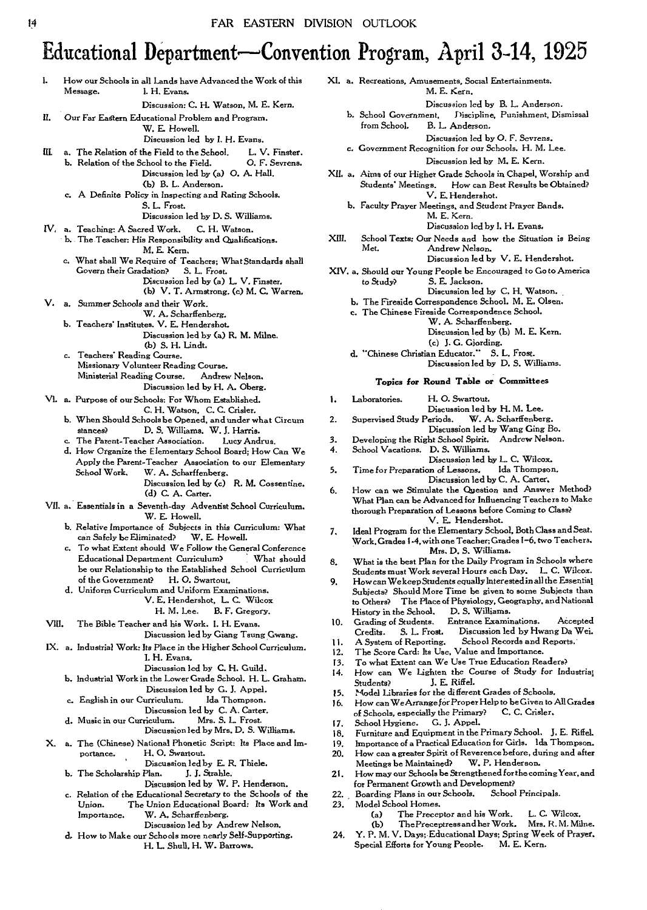## **Educational Department-Convention Program, April 3-14, 1925**

- VI. a. Purpose of our Schools: For Whom Established. b. When Should Schools be Opened, and under what Circum c. The Parent-Teacher Association. Lucy Andrus. d. How Organize the Elementary School Board; How Can We I. How our Schools in all Lands have Advanced the Work of this Message. I. H. Evans. *Discussion:* C. H. Watson, M. E. Kern. **11.** Our Far Eastern Educational Problem and Program. W. E. Howell. Discussion led by I. H. Evans. III. a. The Relation of the Field to the School. L. V. Finster. b. Relation of the School to the Field. 0. F. Sevrens. Discussion led by (a) **0.** A. Hall. (b) B. L. Anderson. **c. A** Definite Policy in Inspecting and Rating Schools. S. L. Frost. Discussion led by D. S. Williams. IV, a. Teaching: A Sacred Work. C. H. Watson. b. The Teacher: His Responsibility and Qualifications. M. E. Kern. c. What shall We Require of Teachers; What Standards shall Govern their Gradation? S. L. *Frost.*  Discussion led by (a) L. V. Finster. (b) V. T. Armstrong. (c) M. C. Warren, V. a. *Summer* Schools and their Work. W. A. Scharffenberg. b. Teachers' Institutes. V. E. Hendershot. Discussion led by (a) R. **M. Milne, (b)** S. H. Lindt. c. Teachers' Reading Course. Missionary Volunteer Reading Course. Ministerial Reading Course. Andrew Nelson. Discussion led by H. A. Oberg. C. H. Watson, C. C. Crisler. stances? D. S. Williams. W. J. Harris. Apply the Parent-Teacher Association to our Elementary School Work. W. A. Scharffenberg. Discussion led by (c) **R. M.** Cossentine. (d) C. A. Carter. Essentials in a Seventh-day Adventist School Curriculum. W. E. Howell. b. Relative Importance of Subjects in this Curriculum: What can Safely be Eliminated? W. E. Howell. can Safely be Eliminated? To what Extent should We Follow the General *Conference*  Educational Department Curriculum? be our Relationship to the Established School Curriculum of the Government? H. 0. Swartout, Uniform Curriculum and Uniform Examinations. V. E. Hendershot, L. C. Wilcox B. F. Gregory. VIII. The Bible Teacher and his Work. I. H. Evans. Discussion led by Giang Taung Gwang. IX. a. Industrial Work: Its Place in the Higher School Curriculum. I. H. Evans. Discussion led by C. H. Guild. b. Industrial Work in the Lower Grade School. H. L. Graham. Discussion led by G. J. Appel. c. English in our Curriculum. Discussion led by C. A. Carter.<br>riculum. Mrs. S. L. Frost. d. Music in our Curriculum. Mrs. S. L. Frost. 11. 12. **17.**
- X. a. The (Chinese) National Phonetic Script: Its Place and Im-<br>portance. H. O. Swartout. 20.
	- b. The Scholarship Plan.
	- Discussion led by W. P. Henderson.
	- c. Relation of the Educational Secretary to the Schools of the 22.<br>Union. The Union Educational Board: Its Work and 23.
	- Union. The Union Educational *Board:* Its Work and W. A. Scharffenberg.<br>Discussion led by Andrew Nelson.
		-
	- **d.** How to Make our Schools more nearly Self-Supporting. 24. Y. P. M. V. Days; Educational Days; Spring Wee<br>H. L. Shull, H. W. Barrows. 29. Special Efforts for Young People. M. E. Kern.
- **Xl. a.** Recreations, Amusements, Social Entertainments. M. E. Kern.
	- *Discussion* led by B. L. Anderson.
	- b. School Government, Discipline, Punishment, Dismissal B. L. Anderson. *Discussion* led by 0. F. *Sevrens.*
	- *c. Government* Recognition for our Schools. H. M. Lee.
- Discussion led by M. E. Kern. XII. a. Aims of our Higher Grade Schools in Chapel, Worship and How can Best Results be Obtained? V. E. Hendershot.
	- b. Faculty Prayer Meetings, and Student Prayer Bands. M. E. Kern.
		- Discussion led by **I. H.** Evans.
- XIII. School Texts: Our Needs and how the Situation is Being Andrew Nelson. Discussion led by V. E. Hendershot.
- XIV. a. Should our Young People be *Encouraged* to Go to America<br>to Study? S. E. Jackson. S. E. Jackson.
	- Discussion led by C. H. Watson.
	- b. The Fireside Correspondence School. M. E. Olsen. c. The Chinese Fireside Correspondence School.
		- W. A. Scharffenberg.
			- Discussion led by (b) M. E. Kern.
				- (c) **J.** G. Giording.
	- d. "Chinese Christian Educator." S. L. Frost. Discussion led by D. S. Williams.

## **Topics for Round Table or Committees**

- 1. Laboratories. H. **0.** Swartout.
	- Discussion led by H. M. Lee.<br>'eriods. W. A. Scharffenberg.
- 2. Supervised Study Periods. Discussion led by Wang Ging Bo.
- 3. Developing the Right School Spirit. Andrew Nelson.<br>4. School Vacations. D. S. Williams.
- School Vacations. D. S. Williams.
- *Discussion* led by L. C. Wilcox.
- 5. Time for Preparation of Lessons. Discussion led by C. A. Carter.
- 6. How can we Stimulate the Question and Answer Method? What Plan can be Advanced for Influencing Teachers to Make thorough Preparation of Lessons before Coming to Class? V. E. Hendershot.
- 7. Ideal Program for the Elementary School, Both Class and Seat. Work, Grades 1.4, with one Teacher; Grades 1-6, two Teachers, Mrs. D. S. Williams.
- 8. What is the best Plan for the Daily Program in Schools where Students must Work several *Hours each* Day. L. C. Wilcox.
- 9. How can We *keep Students equally Interested in* all the Essential Subjects? Should More Time be given to some Subjects than to Others? The Place of Physiology, Geography, and National **History** in the School. D. S. Williams.
- 10. Grading of Students. Entrance Examinations. Accepted Discussion led by Hwang Da Wei.<br>School Records and Reports. A System of Reporting.
- The Score Card: Its Use, Value and Importance.
- **13.**  To what Extent can We Use True Education Readers?
- 14. How can We Lighten the Course of Study for Industrial Students? J. E. Riffel.
- 15. Students? *J.* Model Libraries for the different Grades of Schools.
- 16. How can We Arrange for Proper Help to be Given to All Grades<br>of Schools, especially the Primary? C. C. Crisler,
- of Schools, especially the Primary?
- School Hygiene. G. J. Appel.
- 18. Furniture and Equipment in the Primary School. J. E. Riffel.<br>19. Importance of a Practical Education for Girls. Ida Thompson.
- 
- H. O. Swartout. 20. How can a greater Spirit of Reverence before, during and after<br>Discussion led by E. R. Thiele. 20. Meetings be Maintained? W. P. Henderson.
	- Discussion led by E. R. Thiele. Meetings be Maintained? W. P. Henderson. **21.** How may our Schools be Strengthened for the coming Year, and
		- for Permanent Growth and Development?
		- 23. Model School *Homes,* 
			- (a) The Preceptor and his Work. L. C. Wilcox.<br>(b) The Preceptress and her Work. Mrs. R. M. Mil
		- (b) The Preceptress and her Work. Mrs. R. M. Milne.<br>24. Y. P. M. V. Days; Educational Days; Spring Week of Prayer.
		- Special Efforts for Young People.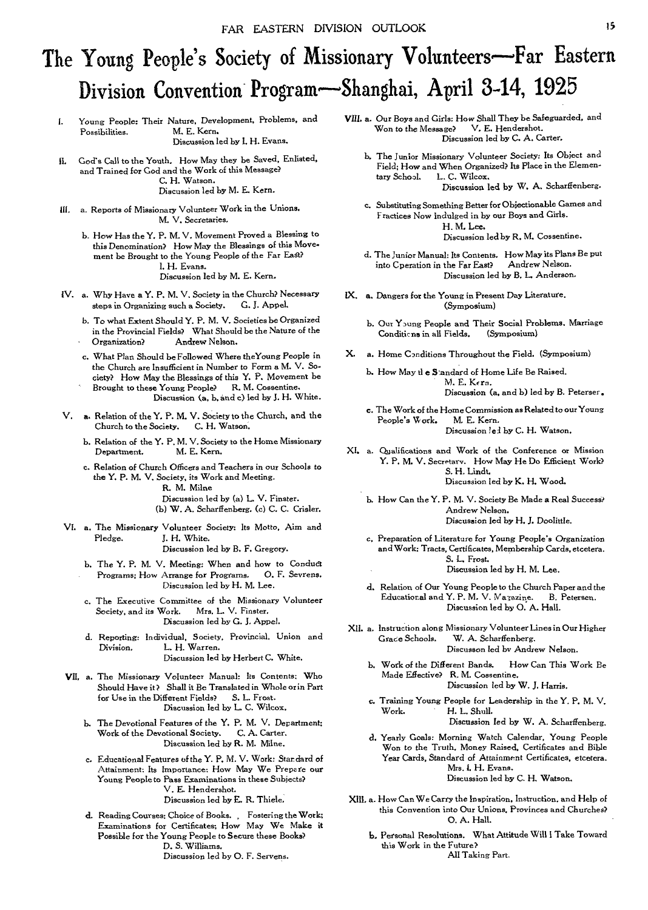# The Young People's Society of Missionary Volunteers—Far Eastern Division Convention Program—Shanghai, April 3-14, 1925

I. Young People: Their Nature. Development, Problems, and M. E. Kern.

Discussion led by 1. H. Evans.

- II. God's Call to the Youth. How May they be Saved, Enlisted, and Trained for God and the Work of this Message? C. H. Watson. Discussion led by M. E. Kern.
- 111, a. Reports of Missionary Volunteer Work in the Unions. *M.* V. Secretaries.
	- b. How Has the Y. P. M. V. Movement Proved a Blessing to this Denomination? How May the Blessings of *this* Movement be Brought to the Young People of the Far East? 1. H. Evans. Discussion led by M. E. Kern.
- IV. a. Why Have a Y. P. M. V. Society in the Church? Necessary<br>steps in Organizing such a Society. G. J. Appel. steps in Organizing such a Society.
	- b. To what Extent Should Y. P. M. V. Societies be Organized in the Provincial Fields? What Should be the Nature of the • Organization? Andrew Nelson.
	- c. What Plan Should be Followed Where theYoung People in the Church are Insufficient in Number to Form a M. V. Society? How May the Blessings of this Y. P. Movement be
	- Brought to these Young People? R. M. Cossentine. Discussion (a, b, and c) led by J. H. White.
- *V. a.* Relation of the Y. P. M. V. Society to the Church, and the Church to the Society.
	- b. Relation of the Y. P. M. V. Society to the Home Missionary<br>Department. M. E. Kern. M. E. Kern.
	- c. Relation of Church Officers and Teachers in our Schools to the Y. P. M. V. Society, its Work and Meeting. R. **M.** *Milne*  Discussion led by (a) L. V. Finster.

(13) W. A. Scharffenberg. (c) C. C. Crisler.

VI. a. The Missionary Volunteer Society: Its Motto, Aim and J. H. White.

Discussion led by B. F. Gregory.

- b. The Y. P. M. V. Meeting: When and how to Conduct Programs; How Arrange for Programs. 0. F. Sevrens. Discussion led by H. M. Lee.
- c. The Executive Committee of the Missionary Volunteer Society, and its Work. Mrs. L. V. Finster. Discussion led by G. J. Appel.
- d. Reporting: Individual, Society. Provincial, Union and L. H. Warren. Discussion led by Herbert C. White.
- VII, a. The Missionary Volunteer Manual: Its Contents; Who Should Have it? Shall it Be Translated in Whole or in Part for Use in the Different Fields? S. L. Frost. Discussion led by L. C. Wilcox.
	- b. The Devotional Features of the Y. P. M. V. Department; Work of the Devotional Society. C. A. Carter. Discussion led by R. M. Milne.
	- c. Educational Features of the Y. P. M. V. Work: Standard *of*  Attainment: Its Importance: How May We Prepare our Young People to Pass Examinations in these Subjects? V. E. Hendershot. Discussion led by E. R. Thiele,
	- d. Reading Courses: Choice of Books. , Fostering the Work: Examinations for Certificates; How May We Make it Possible for the Young People to **S**ecure these Books? D. S. Williams. Discussion led by 0. F. Servens.
- VIII. a. Our Boys and Girls: How Shall They be Safeguarded, and Won to the Message? V. E. Hendershot. Won to the Message? Discussion led by C. A. Carter.
	- b. The Junior Missionary Volunteer Society: Its Object and Field; How and When Organized? Its Place in the Elemen-<br>tary School. L. C. Wilcox. L. C. Wilcox. Discussion led by W. A. Scharffenberg.
	- c. Substituting Something Better for Objectionable Games and Fractices Now Indulged in by our Boys and Girls. *H.* M. Lee. Discussion led by R. M. Cossentine.
	- d. The Junior Manual: Its Contents. How May its Plans Be put into Cperation in the Far East? Andrew Nelson. Discussion led by B. L. Anderson.
- IX. a. Dangers for the Young in Present Day Literature, (Symposium)
	- b. Our Young People and Their Social Problems. Marriage<br>Conditions in all Fields. (Symposium) Conditions in all Fields.
- X. a. Home Conditions Throughout the Field. (Symposium)
	- b. How May tl e S'andard of Home Life Be Raised. M. E. Kern. Discussion (a, and b) led by B. Peterser.
	- e. The Work of the Home Commission as Related to our Young People's Work. Discussion *lel* by C. H. Watson.

XI, a. Qualifications and Work of the Conference or Mission Y. P. M. V. Secretary. How May He Do Efficient Work? S. H. Lindt. Discussion led by K. H. Wood.

- b. How Can the Y. P. M. V. Society Be Made a Real Success? Andrew Nelson. Discussion led by H. J. Doolittle.
- c. Preparation of Literature for Young People's Organization and Work: Tracts, Certificates, Membership Cards, etcetera. S. L. Frost. Discussion led by H. M. Lee.
- d. Relation of Our Young People to the Church Paper and the Educational and Y. P. M. V. Magazine. B. Petersen. Discussion led by 0. A. Hall.
- XII. a. Instruction along Missionary Volunteer Lines in Our Higher W. A. Scharffenberg. Discusson led by Andrew Nelson.
	- b. Work of the Different Bands. How Can This Work Be Made Effective? R. M. Cossentine. Discussion led by W. J. Harris.
	- c. Training Young People for Leadership in the Y. P. M. V. H. L. Shull.

Discussion led by W. A. Scharffenberg.

d. Yearly Goals: Morning Watch Calendar, Young People Won to the Truth. Money Raised, Certificates and Bible Year Cards, Standard of Attainment Certificates, etcetera. Mrs. I. H. Evans.

Discussion led by C. H. Watson.

- *XIII. a.* How Can We Carry the Inspiration, Instruction, and Help of this Convention into Our Unions. Provinces and Churches? 0. A. Hall.
	- **b.** Personal Resolutions. What Attitude Will I Take Toward this Work in the Future? All Taking Part.